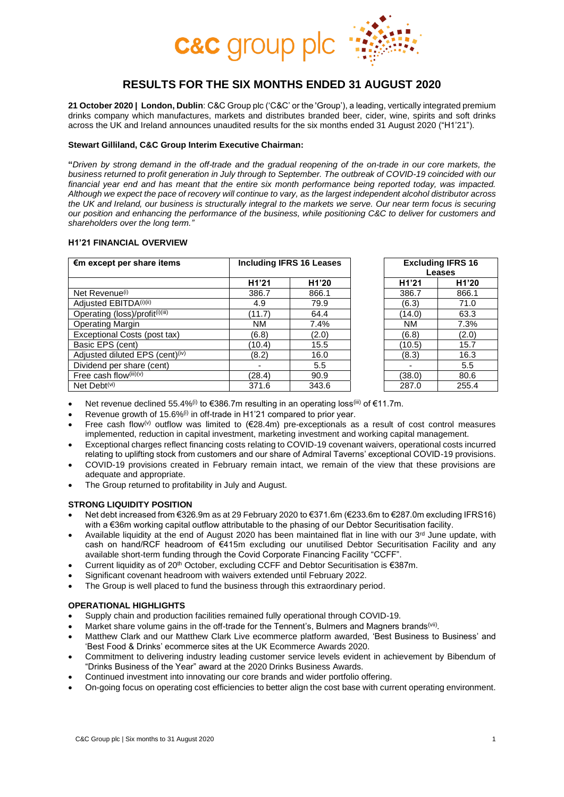

# **RESULTS FOR THE SIX MONTHS ENDED 31 AUGUST 2020**

**21 October 2020 | London, Dublin**: C&C Group plc ('C&C' or the 'Group'), a leading, vertically integrated premium drinks company which manufactures, markets and distributes branded beer, cider, wine, spirits and soft drinks across the UK and Ireland announces unaudited results for the six months ended 31 August 2020 ("H1'21").

## **Stewart Gilliland, C&C Group Interim Executive Chairman:**

**"***Driven by strong demand in the off-trade and the gradual reopening of the on-trade in our core markets, the business returned to profit generation in July through to September. The outbreak of COVID-19 coincided with our financial year end and has meant that the entire six month performance being reported today, was impacted. Although we expect the pace of recovery will continue to vary, as the largest independent alcohol distributor across the UK and Ireland, our business is structurally integral to the markets we serve. Our near term focus is securing our position and enhancing the performance of the business, while positioning C&C to deliver for customers and shareholders over the long term."* 

# **H1'21 FINANCIAL OVERVIEW**

| $\epsilon$ m except per share items         | <b>Including IFRS 16 Leases</b> |                    | <b>Excluding IFRS 16</b><br>Leases |       |
|---------------------------------------------|---------------------------------|--------------------|------------------------------------|-------|
|                                             | H <sub>1</sub> '21              | H <sub>1</sub> '20 | H <sub>1</sub> '21                 | H1'20 |
| Net Revenue <sup>(i)</sup>                  | 386.7                           | 866.1              | 386.7                              | 866.1 |
| Adjusted EBITDA(i)(ii)                      | 4.9                             | 79.9               | (6.3)                              | 71.0  |
| Operating (loss)/profit(i)(iii)             | (11.7)                          | 64.4               | (14.0)                             | 63.3  |
| <b>Operating Margin</b>                     | <b>NM</b>                       | 7.4%               | <b>NM</b>                          | 7.3%  |
| Exceptional Costs (post tax)                | (6.8)                           | (2.0)              | (6.8)                              | (2.0) |
| Basic EPS (cent)                            | (10.4)                          | 15.5               | (10.5)                             | 15.7  |
| Adjusted diluted EPS (cent) <sup>(iv)</sup> | (8.2)                           | 16.0               | (8.3)                              | 16.3  |
| Dividend per share (cent)                   |                                 | 5.5                |                                    | 5.5   |
| Free cash flow $(iii)(v)$                   | (28.4)                          | 90.9               | (38.0)                             | 80.6  |
| Net Debt $(vi)$                             | 371.6                           | 343.6              | 287.0                              | 255.4 |

Net revenue declined 55.4%<sup>(i)</sup> to €386.7m resulting in an operating loss<sup>(iii)</sup> of €11.7m.

Revenue growth of 15.6%<sup>(i)</sup> in off-trade in H1'21 compared to prior year.

- Free cash flow(v) outflow was limited to ( $\epsilon$ 28.4m) pre-exceptionals as a result of cost control measures implemented, reduction in capital investment, marketing investment and working capital management.
- Exceptional charges reflect financing costs relating to COVID-19 covenant waivers, operational costs incurred relating to uplifting stock from customers and our share of Admiral Taverns' exceptional COVID-19 provisions.
- COVID-19 provisions created in February remain intact, we remain of the view that these provisions are adequate and appropriate.
- The Group returned to profitability in July and August.

# **STRONG LIQUIDITY POSITION**

- Net debt increased from €326.9m as at 29 February 2020 to €371.6m (€233.6m to €287.0m excluding IFRS16) with a €36m working capital outflow attributable to the phasing of our Debtor Securitisation facility.
- Available liquidity at the end of August 2020 has been maintained flat in line with our 3rd June update, with cash on hand/RCF headroom of €415m excluding our unutilised Debtor Securitisation Facility and any available short-term funding through the Covid Corporate Financing Facility "CCFF".
- Current liquidity as of 20<sup>th</sup> October, excluding CCFF and Debtor Securitisation is €387m.
- Significant covenant headroom with waivers extended until February 2022.
- The Group is well placed to fund the business through this extraordinary period.

# **OPERATIONAL HIGHLIGHTS**

- Supply chain and production facilities remained fully operational through COVID-19.
- Market share volume gains in the off-trade for the Tennent's, Bulmers and Magners brands<sup>(vii)</sup>.
- Matthew Clark and our Matthew Clark Live ecommerce platform awarded, 'Best Business to Business' and 'Best Food & Drinks' ecommerce sites at the UK Ecommerce Awards 2020.
- Commitment to delivering industry leading customer service levels evident in achievement by Bibendum of "Drinks Business of the Year" award at the 2020 Drinks Business Awards.
- Continued investment into innovating our core brands and wider portfolio offering.
- On-going focus on operating cost efficiencies to better align the cost base with current operating environment.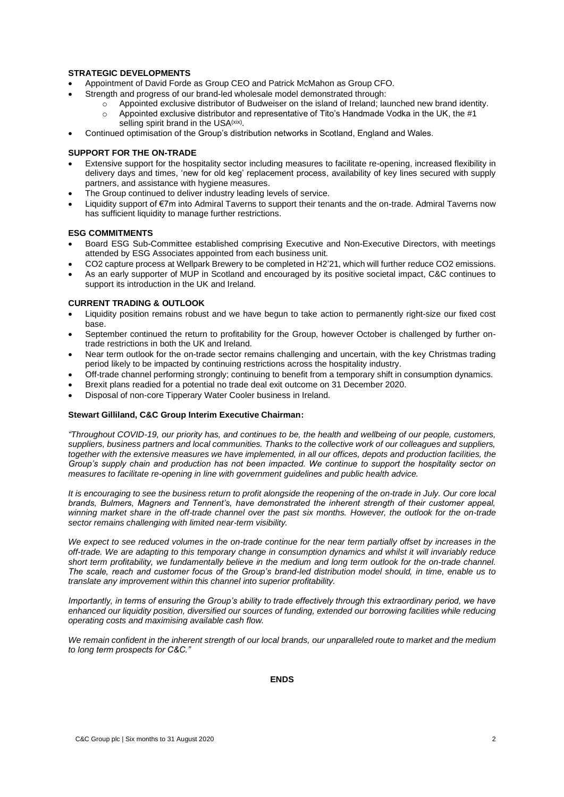# **STRATEGIC DEVELOPMENTS**

- Appointment of David Forde as Group CEO and Patrick McMahon as Group CFO.
	- Strength and progress of our brand-led wholesale model demonstrated through:
		- o Appointed exclusive distributor of Budweiser on the island of Ireland; launched new brand identity.
		- $\circ$  Appointed exclusive distributor and representative of Tito's Handmade Vodka in the UK, the #1 selling spirit brand in the USA<sup>(xix)</sup>.
- Continued optimisation of the Group's distribution networks in Scotland, England and Wales.

## **SUPPORT FOR THE ON-TRADE**

- Extensive support for the hospitality sector including measures to facilitate re-opening, increased flexibility in delivery days and times, 'new for old keg' replacement process, availability of key lines secured with supply partners, and assistance with hygiene measures.
- The Group continued to deliver industry leading levels of service.
- Liquidity support of €7m into Admiral Taverns to support their tenants and the on-trade. Admiral Taverns now has sufficient liquidity to manage further restrictions.

## **ESG COMMITMENTS**

- Board ESG Sub-Committee established comprising Executive and Non-Executive Directors, with meetings attended by ESG Associates appointed from each business unit.
- CO2 capture process at Wellpark Brewery to be completed in H2'21, which will further reduce CO2 emissions.
- As an early supporter of MUP in Scotland and encouraged by its positive societal impact, C&C continues to support its introduction in the UK and Ireland.

## **CURRENT TRADING & OUTLOOK**

- Liquidity position remains robust and we have begun to take action to permanently right-size our fixed cost base.
- September continued the return to profitability for the Group, however October is challenged by further ontrade restrictions in both the UK and Ireland.
- Near term outlook for the on-trade sector remains challenging and uncertain, with the key Christmas trading period likely to be impacted by continuing restrictions across the hospitality industry.
- Off-trade channel performing strongly; continuing to benefit from a temporary shift in consumption dynamics.
- Brexit plans readied for a potential no trade deal exit outcome on 31 December 2020.
- Disposal of non-core Tipperary Water Cooler business in Ireland.

## **Stewart Gilliland, C&C Group Interim Executive Chairman:**

*"Throughout COVID-19, our priority has, and continues to be, the health and wellbeing of our people, customers, suppliers, business partners and local communities. Thanks to the collective work of our colleagues and suppliers, together with the extensive measures we have implemented, in all our offices, depots and production facilities, the Group's supply chain and production has not been impacted. We continue to support the hospitality sector on measures to facilitate re-opening in line with government guidelines and public health advice.*

*It is encouraging to see the business return to profit alongside the reopening of the on-trade in July. Our core local brands, Bulmers, Magners and Tennent's, have demonstrated the inherent strength of their customer appeal, winning market share in the off-trade channel over the past six months. However, the outlook for the on-trade sector remains challenging with limited near-term visibility.* 

*We expect to see reduced volumes in the on-trade continue for the near term partially offset by increases in the off-trade. We are adapting to this temporary change in consumption dynamics and whilst it will invariably reduce short term profitability, we fundamentally believe in the medium and long term outlook for the on-trade channel. The scale, reach and customer focus of the Group's brand-led distribution model should, in time, enable us to translate any improvement within this channel into superior profitability.*

*Importantly, in terms of ensuring the Group's ability to trade effectively through this extraordinary period, we have enhanced our liquidity position, diversified our sources of funding, extended our borrowing facilities while reducing operating costs and maximising available cash flow.* 

*We remain confident in the inherent strength of our local brands, our unparalleled route to market and the medium to long term prospects for C&C."*

**ENDS**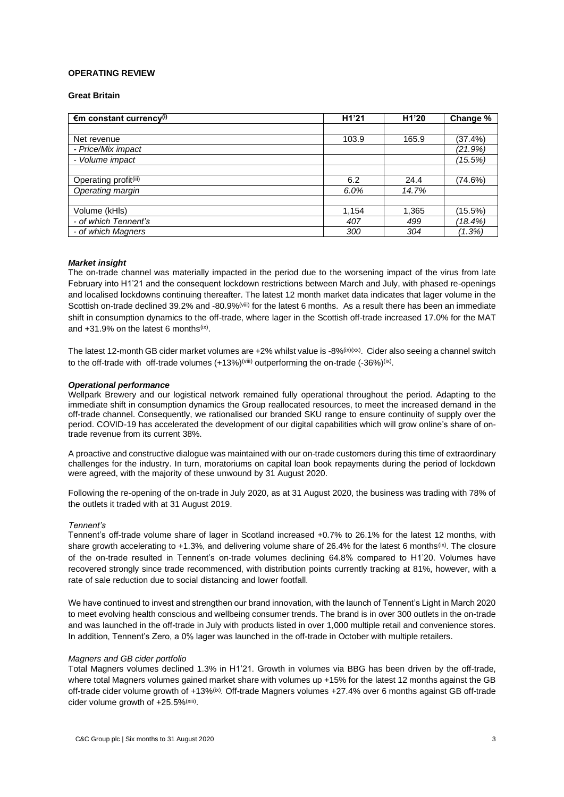#### **OPERATING REVIEW**

#### **Great Britain**

| €m constant currency(i) | H1'21 | H1'20 | Change % |
|-------------------------|-------|-------|----------|
|                         |       |       |          |
| Net revenue             | 103.9 | 165.9 | (37.4%)  |
| - Price/Mix impact      |       |       | (21.9%)  |
| - Volume impact         |       |       | (15.5%)  |
|                         |       |       |          |
| Operating profit(iii)   | 6.2   | 24.4  | (74.6%)  |
| Operating margin        | 6.0%  | 14.7% |          |
|                         |       |       |          |
| Volume (kHls)           | 1,154 | 1,365 | (15.5%)  |
| - of which Tennent's    | 407   | 499   | (18.4%)  |
| - of which Magners      | 300   | 304   | (1.3%)   |

#### *Market insight*

The on-trade channel was materially impacted in the period due to the worsening impact of the virus from late February into H1'21 and the consequent lockdown restrictions between March and July, with phased re-openings and localised lockdowns continuing thereafter. The latest 12 month market data indicates that lager volume in the Scottish on-trade declined 39.2% and -80.9%<sup>(viii)</sup> for the latest 6 months. As a result there has been an immediate shift in consumption dynamics to the off-trade, where lager in the Scottish off-trade increased 17.0% for the MAT and +31.9% on the latest 6 months<sup>(ix)</sup>.

The latest 12-month GB cider market volumes are +2% whilst value is -8% ${}^{\rm (ix)(xx)}$ . Cider also seeing a channel switch to the off-trade with off-trade volumes  $(+13%)^{(\rm viii)}$  outperforming the on-trade  $(-36%)^{(\rm iv)}$ .

#### *Operational performance*

Wellpark Brewery and our logistical network remained fully operational throughout the period. Adapting to the immediate shift in consumption dynamics the Group reallocated resources, to meet the increased demand in the off-trade channel. Consequently, we rationalised our branded SKU range to ensure continuity of supply over the period. COVID-19 has accelerated the development of our digital capabilities which will grow online's share of ontrade revenue from its current 38%.

A proactive and constructive dialogue was maintained with our on-trade customers during this time of extraordinary challenges for the industry. In turn, moratoriums on capital loan book repayments during the period of lockdown were agreed, with the majority of these unwound by 31 August 2020.

Following the re-opening of the on-trade in July 2020, as at 31 August 2020, the business was trading with 78% of the outlets it traded with at 31 August 2019.

#### *Tennent's*

Tennent's off-trade volume share of lager in Scotland increased +0.7% to 26.1% for the latest 12 months, with share growth accelerating to +1.3%, and delivering volume share of 26.4% for the latest 6 months<sup>(ix)</sup>. The closure of the on-trade resulted in Tennent's on-trade volumes declining 64.8% compared to H1'20. Volumes have recovered strongly since trade recommenced, with distribution points currently tracking at 81%, however, with a rate of sale reduction due to social distancing and lower footfall.

We have continued to invest and strengthen our brand innovation, with the launch of Tennent's Light in March 2020 to meet evolving health conscious and wellbeing consumer trends. The brand is in over 300 outlets in the on-trade and was launched in the off-trade in July with products listed in over 1,000 multiple retail and convenience stores. In addition, Tennent's Zero, a 0% lager was launched in the off-trade in October with multiple retailers.

#### *Magners and GB cider portfolio*

Total Magners volumes declined 1.3% in H1'21. Growth in volumes via BBG has been driven by the off-trade, where total Magners volumes gained market share with volumes up +15% for the latest 12 months against the GB off-trade cider volume growth of +13%<sup>(ix)</sup>. Off-trade Magners volumes +27.4% over 6 months against GB off-trade cider volume growth of  $+25.5\%$ <sup>(xiii)</sup>.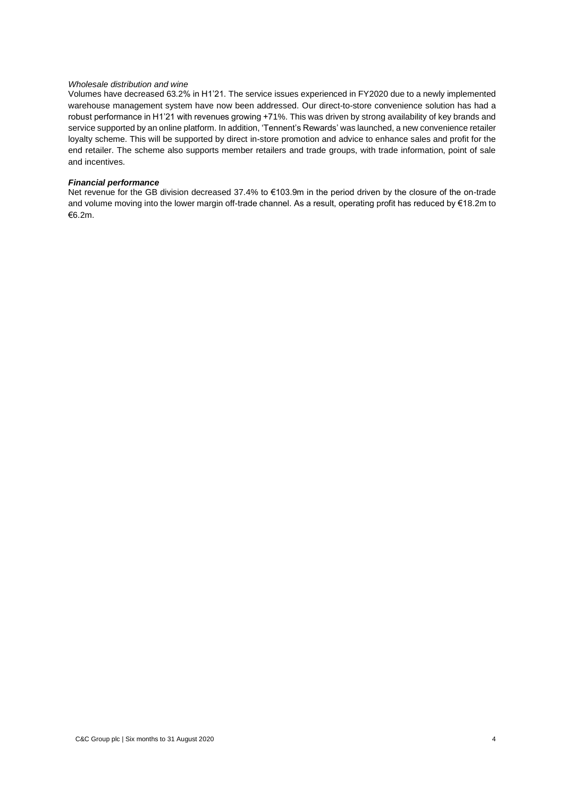#### *Wholesale distribution and wine*

Volumes have decreased 63.2% in H1'21. The service issues experienced in FY2020 due to a newly implemented warehouse management system have now been addressed. Our direct-to-store convenience solution has had a robust performance in H1'21 with revenues growing +71%. This was driven by strong availability of key brands and service supported by an online platform. In addition, 'Tennent's Rewards' was launched, a new convenience retailer loyalty scheme. This will be supported by direct in-store promotion and advice to enhance sales and profit for the end retailer. The scheme also supports member retailers and trade groups, with trade information, point of sale and incentives.

# *Financial performance*

Net revenue for the GB division decreased 37.4% to €103.9m in the period driven by the closure of the on-trade and volume moving into the lower margin off-trade channel. As a result, operating profit has reduced by €18.2m to €6.2m.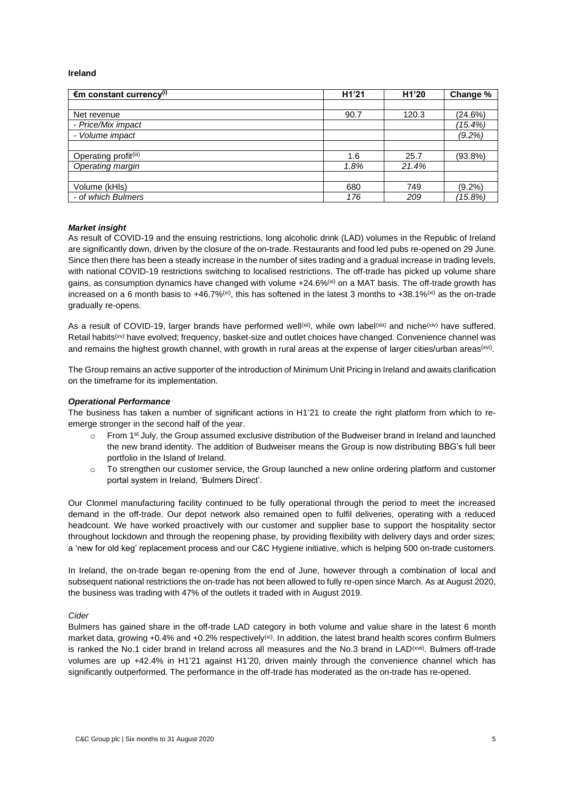## **Ireland**

| €m constant currency <sup>(i)</sup> | H1'21 | H1'20 | Change %  |
|-------------------------------------|-------|-------|-----------|
|                                     |       |       |           |
| Net revenue                         | 90.7  | 120.3 | (24.6%)   |
| - Price/Mix impact                  |       |       | (15.4%)   |
| - Volume impact                     |       |       | (9.2%)    |
|                                     |       |       |           |
| Operating profit(iii)               | 1.6   | 25.7  | (93.8%)   |
| Operating margin                    | 1.8%  | 21.4% |           |
|                                     |       |       |           |
| Volume (kHls)                       | 680   | 749   | $(9.2\%)$ |
| - of which Bulmers                  | 176   | 209   | (15.8%)   |

## *Market insight*

As result of COVID-19 and the ensuing restrictions, long alcoholic drink (LAD) volumes in the Republic of Ireland are significantly down, driven by the closure of the on-trade. Restaurants and food led pubs re-opened on 29 June. Since then there has been a steady increase in the number of sites trading and a gradual increase in trading levels, with national COVID-19 restrictions switching to localised restrictions. The off-trade has picked up volume share gains, as consumption dynamics have changed with volume  $+24.6\%$ <sup>(xi)</sup> on a MAT basis. The off-trade growth has increased on a 6 month basis to +46.7%<sup>(xi)</sup>, this has softened in the latest 3 months to +38.1%<sup>(xi)</sup> as the on-trade gradually re-opens.

As a result of COVID-19, larger brands have performed well<sup>(xii)</sup>, while own label<sup>(xiii)</sup> and niche<sup>(xiv)</sup> have suffered. Retail habits<sup>(xv)</sup> have evolved; frequency, basket-size and outlet choices have changed. Convenience channel was and remains the highest growth channel, with growth in rural areas at the expense of larger cities/urban areas<sup>(xvi)</sup>.

The Group remains an active supporter of the introduction of Minimum Unit Pricing in Ireland and awaits clarification on the timeframe for its implementation.

## *Operational Performance*

The business has taken a number of significant actions in H1'21 to create the right platform from which to reemerge stronger in the second half of the year.

- $\circ$  From 1<sup>st</sup> July, the Group assumed exclusive distribution of the Budweiser brand in Ireland and launched the new brand identity. The addition of Budweiser means the Group is now distributing BBG's full beer portfolio in the Island of Ireland.
- o To strengthen our customer service, the Group launched a new online ordering platform and customer portal system in Ireland, 'Bulmers Direct'.

Our Clonmel manufacturing facility continued to be fully operational through the period to meet the increased demand in the off-trade. Our depot network also remained open to fulfil deliveries, operating with a reduced headcount. We have worked proactively with our customer and supplier base to support the hospitality sector throughout lockdown and through the reopening phase, by providing flexibility with delivery days and order sizes; a 'new for old keg' replacement process and our C&C Hygiene initiative, which is helping 500 on-trade customers.

In Ireland, the on-trade began re-opening from the end of June, however through a combination of local and subsequent national restrictions the on-trade has not been allowed to fully re-open since March. As at August 2020, the business was trading with 47% of the outlets it traded with in August 2019.

## *Cider*

Bulmers has gained share in the off-trade LAD category in both volume and value share in the latest 6 month market data, growing +0.4% and +0.2% respectively<sup>(xi)</sup>. In addition, the latest brand health scores confirm Bulmers is ranked the No.1 cider brand in Ireland across all measures and the No.3 brand in LAD<sup>(xvii)</sup>. Bulmers off-trade volumes are up +42.4% in H1'21 against H1'20, driven mainly through the convenience channel which has significantly outperformed. The performance in the off-trade has moderated as the on-trade has re-opened.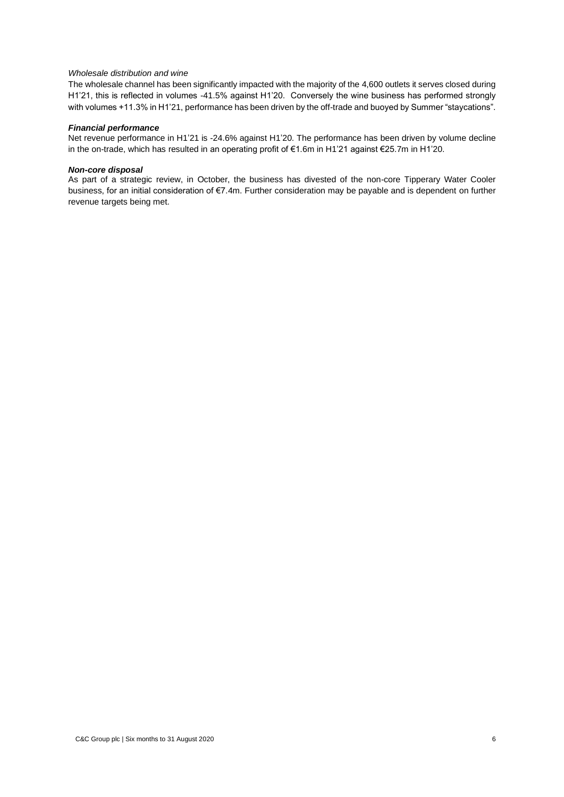## *Wholesale distribution and wine*

The wholesale channel has been significantly impacted with the majority of the 4,600 outlets it serves closed during H1'21, this is reflected in volumes -41.5% against H1'20. Conversely the wine business has performed strongly with volumes +11.3% in H1'21, performance has been driven by the off-trade and buoyed by Summer "staycations".

#### *Financial performance*

Net revenue performance in H1'21 is -24.6% against H1'20. The performance has been driven by volume decline in the on-trade, which has resulted in an operating profit of €1.6m in H1'21 against €25.7m in H1'20.

#### *Non-core disposal*

As part of a strategic review, in October, the business has divested of the non-core Tipperary Water Cooler business, for an initial consideration of €7.4m. Further consideration may be payable and is dependent on further revenue targets being met.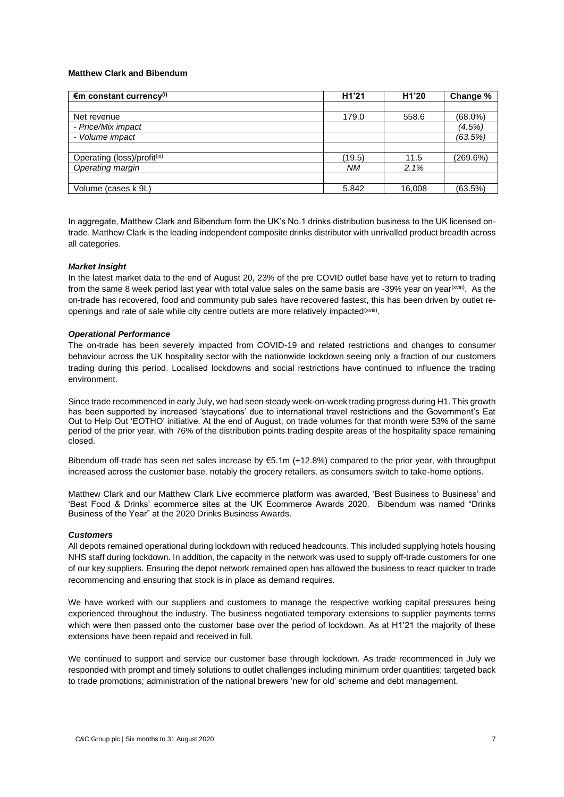## **Matthew Clark and Bibendum**

| €m constant currency(i)      | H1'21  | H1'20  | Change % |
|------------------------------|--------|--------|----------|
|                              |        |        |          |
| Net revenue                  | 179.0  | 558.6  | (68.0%)  |
| - Price/Mix impact           |        |        | (4.5%)   |
| - Volume impact              |        |        | (63.5%)  |
|                              |        |        |          |
| Operating (loss)/profit(iii) | (19.5) | 11.5   | (269.6%) |
| Operating margin             | ΝM     | 2.1%   |          |
|                              |        |        |          |
| Volume (cases k 9L)          | 5,842  | 16,008 | (63.5%)  |

In aggregate, Matthew Clark and Bibendum form the UK's No.1 drinks distribution business to the UK licensed ontrade. Matthew Clark is the leading independent composite drinks distributor with unrivalled product breadth across all categories.

## *Market Insight*

In the latest market data to the end of August 20, 23% of the pre COVID outlet base have yet to return to trading from the same 8 week period last year with total value sales on the same basis are -39% year on year<sup>(xviii)</sup>. As the on-trade has recovered, food and community pub sales have recovered fastest, this has been driven by outlet reopenings and rate of sale while city centre outlets are more relatively impacted<sup>(xviii</sup>).

## *Operational Performance*

The on-trade has been severely impacted from COVID-19 and related restrictions and changes to consumer behaviour across the UK hospitality sector with the nationwide lockdown seeing only a fraction of our customers trading during this period. Localised lockdowns and social restrictions have continued to influence the trading environment.

Since trade recommenced in early July, we had seen steady week-on-week trading progress during H1. This growth has been supported by increased 'staycations' due to international travel restrictions and the Government's Eat Out to Help Out 'EOTHO' initiative. At the end of August, on trade volumes for that month were 53% of the same period of the prior year, with 76% of the distribution points trading despite areas of the hospitality space remaining closed.

Bibendum off-trade has seen net sales increase by €5.1m (+12.8%) compared to the prior year, with throughput increased across the customer base, notably the grocery retailers, as consumers switch to take-home options.

Matthew Clark and our Matthew Clark Live ecommerce platform was awarded, 'Best Business to Business' and 'Best Food & Drinks' ecommerce sites at the UK Ecommerce Awards 2020. Bibendum was named "Drinks Business of the Year" at the 2020 Drinks Business Awards.

# *Customers*

All depots remained operational during lockdown with reduced headcounts. This included supplying hotels housing NHS staff during lockdown. In addition, the capacity in the network was used to supply off-trade customers for one of our key suppliers. Ensuring the depot network remained open has allowed the business to react quicker to trade recommencing and ensuring that stock is in place as demand requires.

We have worked with our suppliers and customers to manage the respective working capital pressures being experienced throughout the industry. The business negotiated temporary extensions to supplier payments terms which were then passed onto the customer base over the period of lockdown. As at H1'21 the majority of these extensions have been repaid and received in full.

We continued to support and service our customer base through lockdown. As trade recommenced in July we responded with prompt and timely solutions to outlet challenges including minimum order quantities; targeted back to trade promotions; administration of the national brewers 'new for old' scheme and debt management.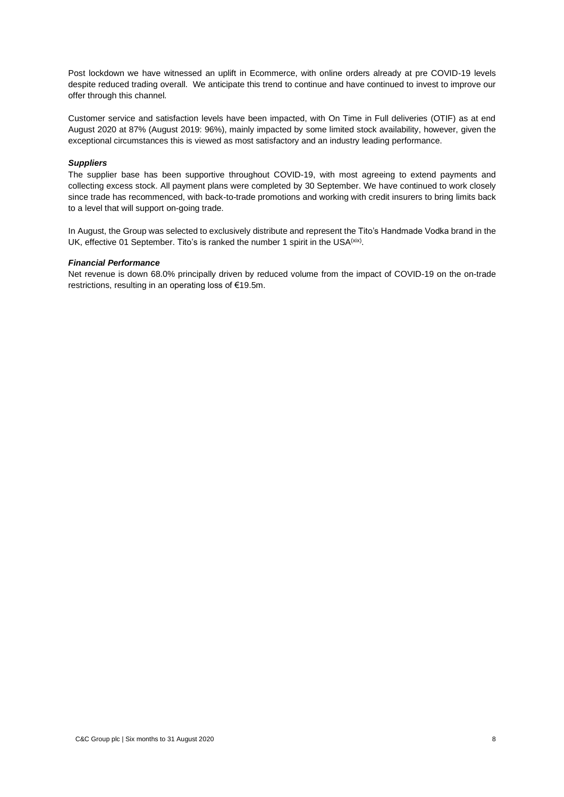Post lockdown we have witnessed an uplift in Ecommerce, with online orders already at pre COVID-19 levels despite reduced trading overall. We anticipate this trend to continue and have continued to invest to improve our offer through this channel.

Customer service and satisfaction levels have been impacted, with On Time in Full deliveries (OTIF) as at end August 2020 at 87% (August 2019: 96%), mainly impacted by some limited stock availability, however, given the exceptional circumstances this is viewed as most satisfactory and an industry leading performance.

## *Suppliers*

The supplier base has been supportive throughout COVID-19, with most agreeing to extend payments and collecting excess stock. All payment plans were completed by 30 September. We have continued to work closely since trade has recommenced, with back-to-trade promotions and working with credit insurers to bring limits back to a level that will support on-going trade.

In August, the Group was selected to exclusively distribute and represent the Tito's Handmade Vodka brand in the UK, effective 01 September. Tito's is ranked the number 1 spirit in the USA $(xix)$ .

## *Financial Performance*

Net revenue is down 68.0% principally driven by reduced volume from the impact of COVID-19 on the on-trade restrictions, resulting in an operating loss of €19.5m.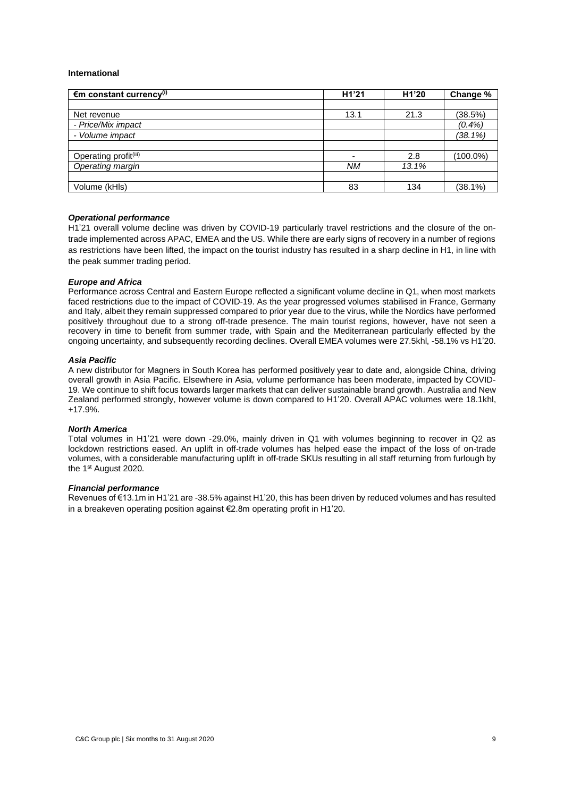## **International**

| €m constant currency(i) | H <sub>1</sub> '21 | H1'20 | Change %    |
|-------------------------|--------------------|-------|-------------|
|                         |                    |       |             |
| Net revenue             | 13.1               | 21.3  | (38.5%)     |
| - Price/Mix impact      |                    |       | (0.4%       |
| - Volume impact         |                    |       | (38.1%)     |
|                         |                    |       |             |
| Operating profit(iii)   |                    | 2.8   | $(100.0\%)$ |
| Operating margin        | <b>NM</b>          | 13.1% |             |
|                         |                    |       |             |
| Volume (kHIs)           | 83                 | 134   | (38.1%)     |

#### *Operational performance*

H1'21 overall volume decline was driven by COVID-19 particularly travel restrictions and the closure of the ontrade implemented across APAC, EMEA and the US. While there are early signs of recovery in a number of regions as restrictions have been lifted, the impact on the tourist industry has resulted in a sharp decline in H1, in line with the peak summer trading period.

#### *Europe and Africa*

Performance across Central and Eastern Europe reflected a significant volume decline in Q1, when most markets faced restrictions due to the impact of COVID-19. As the year progressed volumes stabilised in France, Germany and Italy, albeit they remain suppressed compared to prior year due to the virus, while the Nordics have performed positively throughout due to a strong off-trade presence. The main tourist regions, however, have not seen a recovery in time to benefit from summer trade, with Spain and the Mediterranean particularly effected by the ongoing uncertainty, and subsequently recording declines. Overall EMEA volumes were 27.5khl, -58.1% vs H1'20.

#### *Asia Pacific*

A new distributor for Magners in South Korea has performed positively year to date and, alongside China, driving overall growth in Asia Pacific. Elsewhere in Asia, volume performance has been moderate, impacted by COVID-19. We continue to shift focus towards larger markets that can deliver sustainable brand growth. Australia and New Zealand performed strongly, however volume is down compared to H1'20. Overall APAC volumes were 18.1khl, +17.9%.

#### *North America*

Total volumes in H1'21 were down ‐29.0%, mainly driven in Q1 with volumes beginning to recover in Q2 as lockdown restrictions eased. An uplift in off-trade volumes has helped ease the impact of the loss of on-trade volumes, with a considerable manufacturing uplift in off-trade SKUs resulting in all staff returning from furlough by the 1st August 2020.

#### *Financial performance*

Revenues of €13.1m in H1'21 are -38.5% against H1'20, this has been driven by reduced volumes and has resulted in a breakeven operating position against €2.8m operating profit in H1'20.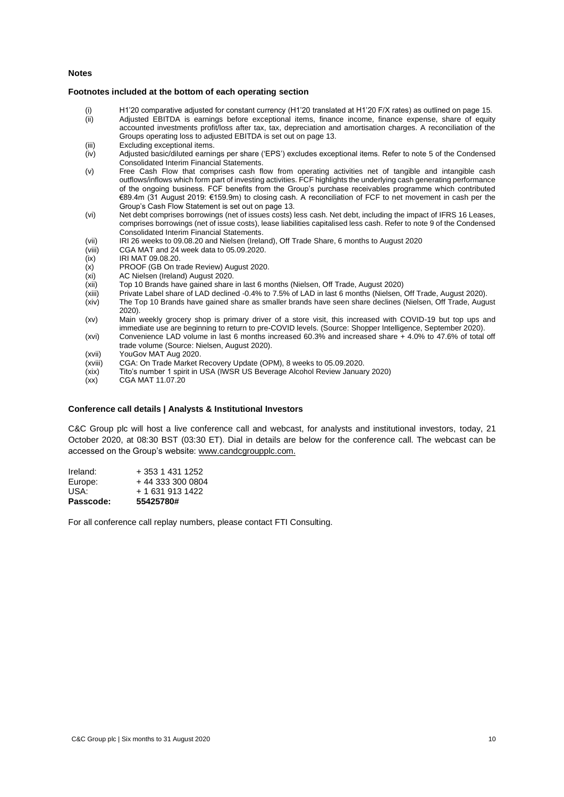#### **Notes**

#### **Footnotes included at the bottom of each operating section**

- (i) H1'20 comparative adjusted for constant currency (H1'20 translated at H1'20 F/X rates) as outlined on page 15.<br>(ii) Adjusted EBITDA is earnings before exceptional items, finance income, finance expense, share of equity Adjusted EBITDA is earnings before exceptional items, finance income, finance expense, share of equity accounted investments profit/loss after tax, tax, depreciation and amortisation charges. A reconciliation of the Groups operating loss to adjusted EBITDA is set out on page 13.
- (iii) Excluding exceptional items.
- (iv) Adjusted basic/diluted earnings per share ('EPS') excludes exceptional items. Refer to note 5 of the Condensed Consolidated Interim Financial Statements.
- (v) Free Cash Flow that comprises cash flow from operating activities net of tangible and intangible cash outflows/inflows which form part of investing activities. FCF highlights the underlying cash generating performance of the ongoing business. FCF benefits from the Group's purchase receivables programme which contributed €89.4m (31 August 2019: €159.9m) to closing cash. A reconciliation of FCF to net movement in cash per the Group's Cash Flow Statement is set out on page 13.
- (vi) Net debt comprises borrowings (net of issues costs) less cash. Net debt, including the impact of IFRS 16 Leases, comprises borrowings (net of issue costs), lease liabilities capitalised less cash. Refer to note 9 of the Condensed Consolidated Interim Financial Statements.
- (vii) IRI 26 weeks to 09.08.20 and Nielsen (Ireland), Off Trade Share, 6 months to August 2020<br>(viii) CGA MAT and 24 week data to 05.09.2020.
- $\frac{1}{10}$  CGA MAT and 24 week data to 05.09.2020.<br>(ix) IRI MAT 09.08.20.
- (ix) IRI MAT 09.08.20.
- (x) PROOF (GB On trade Review) August 2020.<br>(xi) AC Nielsen (Ireland) August 2020.
- (xi) AC Nielsen (Ireland) August 2020.<br>(xii) Top 10 Brands have gained share
- 
- (xii) Top 10 Brands have gained share in last 6 months (Nielsen, Off Trade, August 2020) Private Label share of LAD declined -0.4% to 7.5% of LAD in last 6 months (Nielsen, Off Trade, August 2020).
- (xiv) The Top 10 Brands have gained share as smaller brands have seen share declines (Nielsen, Off Trade, August 2020).
- (xv) Main weekly grocery shop is primary driver of a store visit, this increased with COVID-19 but top ups and immediate use are beginning to return to pre-COVID levels. (Source: Shopper Intelligence, September 2020).
- (xvi) Convenience LAD volume in last 6 months increased 60.3% and increased share + 4.0% to 47.6% of total off trade volume (Source: Nielsen, August 2020).
- (xvii) YouGov MAT Aug 2020.
- (xviii) CGA: On Trade Market Recovery Update (OPM), 8 weeks to 05.09.2020.
- Tito's number 1 spirit in USA (IWSR US Beverage Alcohol Review January 2020)
- $\overrightarrow{(xx)}$  CGA MAT 11.07.20

#### **Conference call details | Analysts & Institutional Investors**

C&C Group plc will host a live conference call and webcast, for analysts and institutional investors, today, 21 October 2020, at 08:30 BST (03:30 ET). Dial in details are below for the conference call. The webcast can be accessed on the Group's website: www.candcgroupplc.com.

| Passcode: | 55425780#        |
|-----------|------------------|
| USA:      | + 1 631 913 1422 |
| Europe:   | +44 333 300 0804 |
| Ireland:  | + 353 1 431 1252 |

For all conference call replay numbers, please contact FTI Consulting.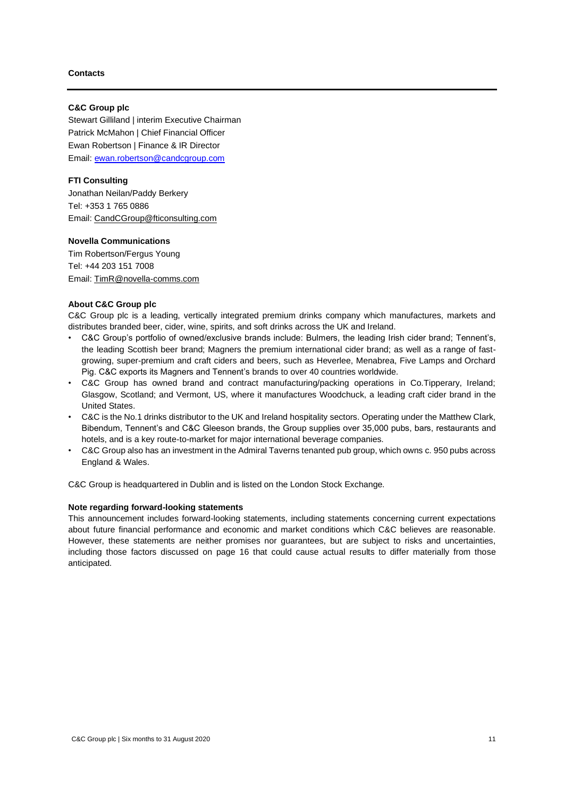# **Contacts**

# **C&C Group plc**

Stewart Gilliland | interim Executive Chairman Patrick McMahon | Chief Financial Officer Ewan Robertson | Finance & IR Director Email[: ewan.robertson@candcgroup.com](mailto:ewan.robertson@candcgroup.com)

# **FTI Consulting**

Jonathan Neilan/Paddy Berkery Tel: +353 1 765 0886 Email[: CandCGroup@fticonsulting.com](mailto:CandCGroup@fticonsulting.com)

## **Novella Communications**

Tim Robertson/Fergus Young Tel: +44 203 151 7008 Email[: TimR@novella-comms.com](mailto:TimR@novella-comms.com)

# **About C&C Group plc**

C&C Group plc is a leading, vertically integrated premium drinks company which manufactures, markets and distributes branded beer, cider, wine, spirits, and soft drinks across the UK and Ireland.

- C&C Group's portfolio of owned/exclusive brands include: Bulmers, the leading Irish cider brand; Tennent's, the leading Scottish beer brand; Magners the premium international cider brand; as well as a range of fastgrowing, super-premium and craft ciders and beers, such as Heverlee, Menabrea, Five Lamps and Orchard Pig. C&C exports its Magners and Tennent's brands to over 40 countries worldwide.
- C&C Group has owned brand and contract manufacturing/packing operations in Co.Tipperary, Ireland; Glasgow, Scotland; and Vermont, US, where it manufactures Woodchuck, a leading craft cider brand in the United States.
- C&C is the No.1 drinks distributor to the UK and Ireland hospitality sectors. Operating under the Matthew Clark, Bibendum, Tennent's and C&C Gleeson brands, the Group supplies over 35,000 pubs, bars, restaurants and hotels, and is a key route-to-market for major international beverage companies.
- C&C Group also has an investment in the Admiral Taverns tenanted pub group, which owns c. 950 pubs across England & Wales.

C&C Group is headquartered in Dublin and is listed on the London Stock Exchange.

## **Note regarding forward-looking statements**

This announcement includes forward-looking statements, including statements concerning current expectations about future financial performance and economic and market conditions which C&C believes are reasonable. However, these statements are neither promises nor guarantees, but are subject to risks and uncertainties, including those factors discussed on page 16 that could cause actual results to differ materially from those anticipated.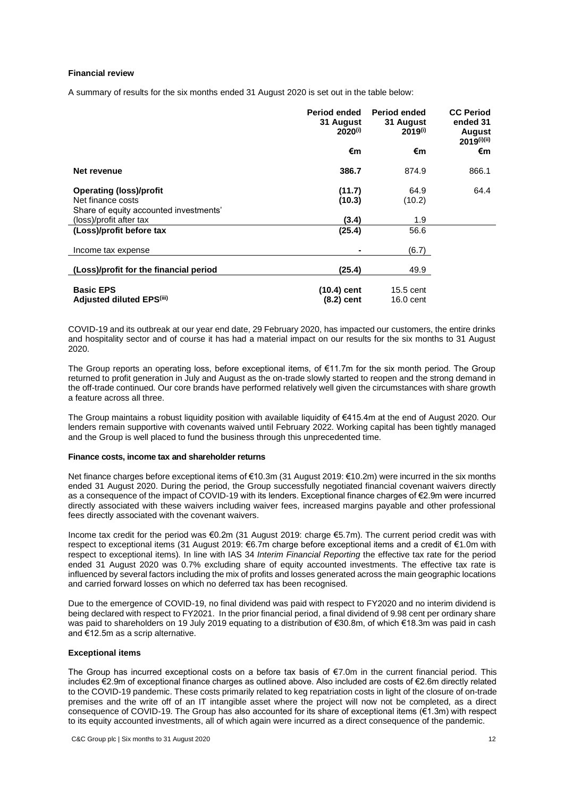## **Financial review**

A summary of results for the six months ended 31 August 2020 is set out in the table below:

|                                                                                               | Period ended<br>31 August<br>$2020^{(i)}$ | <b>Period ended</b><br>31 August<br>$2019^{(i)}$ | <b>CC Period</b><br>ended 31<br><b>August</b><br>$2019^{(i)(ii)}$ |
|-----------------------------------------------------------------------------------------------|-------------------------------------------|--------------------------------------------------|-------------------------------------------------------------------|
|                                                                                               | €m                                        | €m                                               | €m                                                                |
| Net revenue                                                                                   | 386.7                                     | 874.9                                            | 866.1                                                             |
| <b>Operating (loss)/profit</b><br>Net finance costs<br>Share of equity accounted investments' | (11.7)<br>(10.3)                          | 64.9<br>(10.2)                                   | 64.4                                                              |
| (loss)/profit after tax                                                                       | (3.4)                                     | 1.9                                              |                                                                   |
| (Loss)/profit before tax                                                                      | (25.4)                                    | 56.6                                             |                                                                   |
| Income tax expense                                                                            |                                           | (6.7)                                            |                                                                   |
| (Loss)/profit for the financial period                                                        | (25.4)                                    | 49.9                                             |                                                                   |
| <b>Basic EPS</b><br>Adjusted diluted EPS <sup>(iii)</sup>                                     | (10.4) cent<br>(8.2) cent                 | 15.5 cent<br>$16.0$ cent                         |                                                                   |

COVID-19 and its outbreak at our year end date, 29 February 2020, has impacted our customers, the entire drinks and hospitality sector and of course it has had a material impact on our results for the six months to 31 August 2020.

The Group reports an operating loss, before exceptional items, of €11.7m for the six month period. The Group returned to profit generation in July and August as the on-trade slowly started to reopen and the strong demand in the off-trade continued. Our core brands have performed relatively well given the circumstances with share growth a feature across all three.

The Group maintains a robust liquidity position with available liquidity of €415.4m at the end of August 2020. Our lenders remain supportive with covenants waived until February 2022. Working capital has been tightly managed and the Group is well placed to fund the business through this unprecedented time.

#### **Finance costs, income tax and shareholder returns**

Net finance charges before exceptional items of €10.3m (31 August 2019: €10.2m) were incurred in the six months ended 31 August 2020. During the period, the Group successfully negotiated financial covenant waivers directly as a consequence of the impact of COVID-19 with its lenders. Exceptional finance charges of €2.9m were incurred directly associated with these waivers including waiver fees, increased margins payable and other professional fees directly associated with the covenant waivers.

Income tax credit for the period was €0.2m (31 August 2019: charge €5.7m). The current period credit was with respect to exceptional items (31 August 2019: €6.7m charge before exceptional items and a credit of €1.0m with respect to exceptional items). In line with IAS 34 *Interim Financial Reporting* the effective tax rate for the period ended 31 August 2020 was 0.7% excluding share of equity accounted investments. The effective tax rate is influenced by several factors including the mix of profits and losses generated across the main geographic locations and carried forward losses on which no deferred tax has been recognised.

Due to the emergence of COVID-19, no final dividend was paid with respect to FY2020 and no interim dividend is being declared with respect to FY2021. In the prior financial period, a final dividend of 9.98 cent per ordinary share was paid to shareholders on 19 July 2019 equating to a distribution of €30.8m, of which €18.3m was paid in cash and €12.5m as a scrip alternative.

#### **Exceptional items**

The Group has incurred exceptional costs on a before tax basis of €7.0m in the current financial period. This includes €2.9m of exceptional finance charges as outlined above. Also included are costs of €2.6m directly related to the COVID-19 pandemic. These costs primarily related to keg repatriation costs in light of the closure of on-trade premises and the write off of an IT intangible asset where the project will now not be completed, as a direct consequence of COVID-19. The Group has also accounted for its share of exceptional items (€1.3m) with respect to its equity accounted investments, all of which again were incurred as a direct consequence of the pandemic.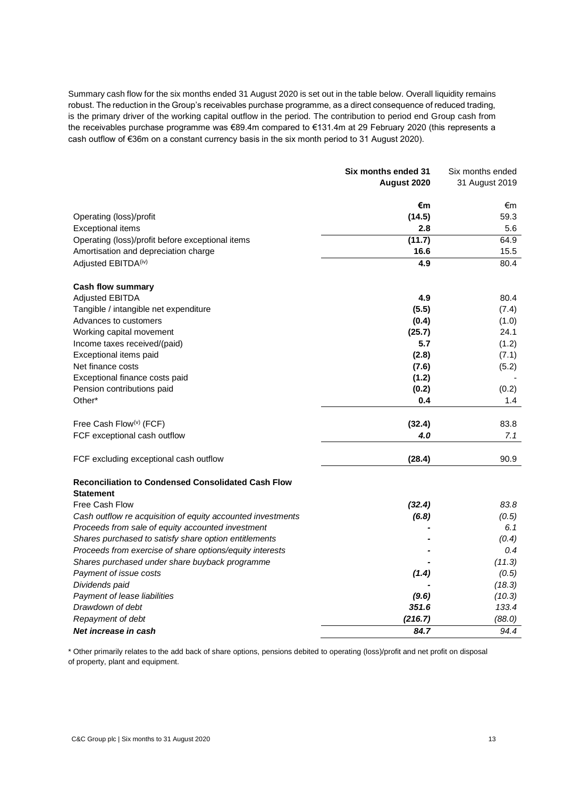Summary cash flow for the six months ended 31 August 2020 is set out in the table below. Overall liquidity remains robust. The reduction in the Group's receivables purchase programme, as a direct consequence of reduced trading, is the primary driver of the working capital outflow in the period. The contribution to period end Group cash from the receivables purchase programme was €89.4m compared to €131.4m at 29 February 2020 (this represents a cash outflow of €36m on a constant currency basis in the six month period to 31 August 2020).

|                                                             | Six months ended 31 | Six months ended |
|-------------------------------------------------------------|---------------------|------------------|
|                                                             | August 2020         | 31 August 2019   |
|                                                             | €m                  | €m               |
| Operating (loss)/profit                                     | (14.5)              | 59.3             |
| <b>Exceptional items</b>                                    | 2.8                 | 5.6              |
| Operating (loss)/profit before exceptional items            | (11.7)              | 64.9             |
| Amortisation and depreciation charge                        | 16.6                | 15.5             |
| Adjusted EBITDA <sup>(iv)</sup>                             | 4.9                 | 80.4             |
| <b>Cash flow summary</b>                                    |                     |                  |
| <b>Adjusted EBITDA</b>                                      | 4.9                 | 80.4             |
| Tangible / intangible net expenditure                       | (5.5)               | (7.4)            |
| Advances to customers                                       | (0.4)               | (1.0)            |
| Working capital movement                                    | (25.7)              | 24.1             |
| Income taxes received/(paid)                                | 5.7                 | (1.2)            |
| Exceptional items paid                                      | (2.8)               | (7.1)            |
| Net finance costs                                           | (7.6)               | (5.2)            |
| Exceptional finance costs paid                              | (1.2)               |                  |
| Pension contributions paid                                  | (0.2)               | (0.2)            |
| Other*                                                      | 0.4                 | 1.4              |
| Free Cash Flow(v) (FCF)                                     | (32.4)              | 83.8             |
| FCF exceptional cash outflow                                | 4.0                 | 7.1              |
| FCF excluding exceptional cash outflow                      | (28.4)              | 90.9             |
| <b>Reconciliation to Condensed Consolidated Cash Flow</b>   |                     |                  |
| <b>Statement</b>                                            |                     |                  |
| <b>Free Cash Flow</b>                                       | (32.4)              | 83.8             |
| Cash outflow re acquisition of equity accounted investments | (6.8)               | (0.5)            |
| Proceeds from sale of equity accounted investment           |                     | 6.1              |
| Shares purchased to satisfy share option entitlements       |                     | (0.4)            |
| Proceeds from exercise of share options/equity interests    |                     | 0.4              |
| Shares purchased under share buyback programme              |                     | (11.3)           |
| Payment of issue costs                                      | (1.4)               | (0.5)            |
| Dividends paid                                              |                     | (18.3)           |
| Payment of lease liabilities                                | (9.6)               | (10.3)           |
| Drawdown of debt                                            | 351.6               | 133.4            |
| Repayment of debt                                           | (216.7)             | (88.0)           |
| Net increase in cash                                        | 84.7                | 94.4             |

\* Other primarily relates to the add back of share options, pensions debited to operating (loss)/profit and net profit on disposal of property, plant and equipment.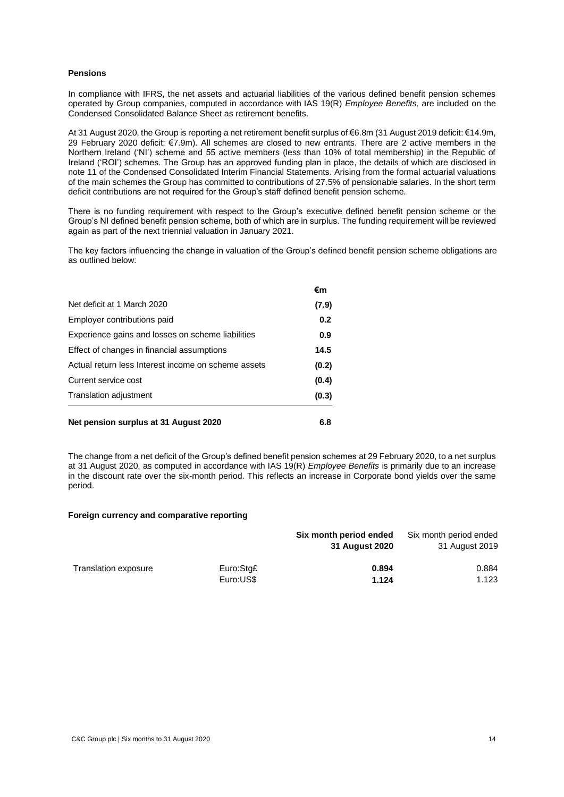## **Pensions**

In compliance with IFRS, the net assets and actuarial liabilities of the various defined benefit pension schemes operated by Group companies, computed in accordance with IAS 19(R) *Employee Benefits,* are included on the Condensed Consolidated Balance Sheet as retirement benefits.

At 31 August 2020, the Group is reporting a net retirement benefit surplus of €6.8m (31 August 2019 deficit: €14.9m, 29 February 2020 deficit: €7.9m). All schemes are closed to new entrants. There are 2 active members in the Northern Ireland ('NI') scheme and 55 active members (less than 10% of total membership) in the Republic of Ireland ('ROI') schemes. The Group has an approved funding plan in place, the details of which are disclosed in note 11 of the Condensed Consolidated Interim Financial Statements. Arising from the formal actuarial valuations of the main schemes the Group has committed to contributions of 27.5% of pensionable salaries. In the short term deficit contributions are not required for the Group's staff defined benefit pension scheme.

There is no funding requirement with respect to the Group's executive defined benefit pension scheme or the Group's NI defined benefit pension scheme, both of which are in surplus. The funding requirement will be reviewed again as part of the next triennial valuation in January 2021.

The key factors influencing the change in valuation of the Group's defined benefit pension scheme obligations are as outlined below:

|                                                     | €m    |
|-----------------------------------------------------|-------|
| Net deficit at 1 March 2020                         | (7.9) |
| Employer contributions paid                         | 0.2   |
| Experience gains and losses on scheme liabilities   | 0.9   |
| Effect of changes in financial assumptions          | 14.5  |
| Actual return less Interest income on scheme assets | (0.2) |
| Current service cost                                | (0.4) |
| Translation adjustment                              | (0.3) |
|                                                     |       |
| Net pension surplus at 31 August 2020               | 6.8   |

The change from a net deficit of the Group's defined benefit pension schemes at 29 February 2020, to a net surplus at 31 August 2020, as computed in accordance with IAS 19(R) *Employee Benefits* is primarily due to an increase in the discount rate over the six-month period. This reflects an increase in Corporate bond yields over the same period.

#### **Foreign currency and comparative reporting**

|                      |           | Six month period ended<br>31 August 2020 | Six month period ended<br>31 August 2019 |
|----------------------|-----------|------------------------------------------|------------------------------------------|
| Translation exposure | Euro:Stg£ | 0.894                                    | 0.884                                    |
|                      | Euro:US\$ | 1.124                                    | 1.123                                    |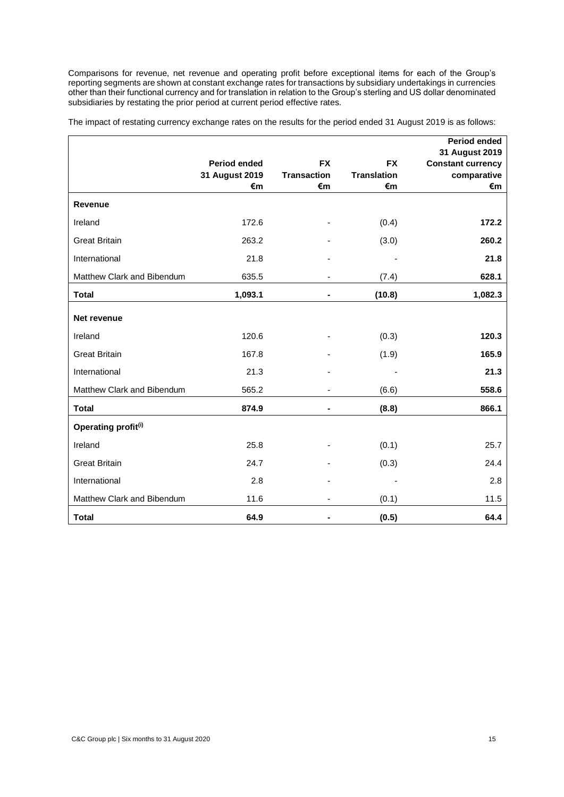Comparisons for revenue, net revenue and operating profit before exceptional items for each of the Group's reporting segments are shown at constant exchange rates for transactions by subsidiary undertakings in currencies other than their functional currency and for translation in relation to the Group's sterling and US dollar denominated subsidiaries by restating the prior period at current period effective rates.

The impact of restating currency exchange rates on the results for the period ended 31 August 2019 is as follows:

|                                 |                      |                          |                          | Period ended             |
|---------------------------------|----------------------|--------------------------|--------------------------|--------------------------|
|                                 |                      |                          |                          | 31 August 2019           |
|                                 | <b>Period ended</b>  | <b>FX</b>                | <b>FX</b>                | <b>Constant currency</b> |
|                                 | 31 August 2019<br>€m | <b>Transaction</b><br>€m | <b>Translation</b><br>€m | comparative<br>€m        |
|                                 |                      |                          |                          |                          |
| <b>Revenue</b>                  |                      |                          |                          |                          |
| Ireland                         | 172.6                |                          | (0.4)                    | 172.2                    |
| <b>Great Britain</b>            | 263.2                |                          | (3.0)                    | 260.2                    |
| International                   | 21.8                 |                          |                          | 21.8                     |
| Matthew Clark and Bibendum      | 635.5                |                          | (7.4)                    | 628.1                    |
| <b>Total</b>                    | 1,093.1              | $\blacksquare$           | (10.8)                   | 1,082.3                  |
| Net revenue                     |                      |                          |                          |                          |
| Ireland                         | 120.6                |                          | (0.3)                    | 120.3                    |
| <b>Great Britain</b>            | 167.8                |                          | (1.9)                    | 165.9                    |
| International                   | 21.3                 |                          |                          | 21.3                     |
| Matthew Clark and Bibendum      | 565.2                |                          | (6.6)                    | 558.6                    |
| <b>Total</b>                    | 874.9                | $\blacksquare$           | (8.8)                    | 866.1                    |
| Operating profit <sup>(i)</sup> |                      |                          |                          |                          |
| Ireland                         | 25.8                 |                          | (0.1)                    | 25.7                     |
| <b>Great Britain</b>            | 24.7                 |                          | (0.3)                    | 24.4                     |
| International                   | 2.8                  |                          |                          | 2.8                      |
| Matthew Clark and Bibendum      | 11.6                 |                          | (0.1)                    | 11.5                     |
| <b>Total</b>                    | 64.9                 |                          | (0.5)                    | 64.4                     |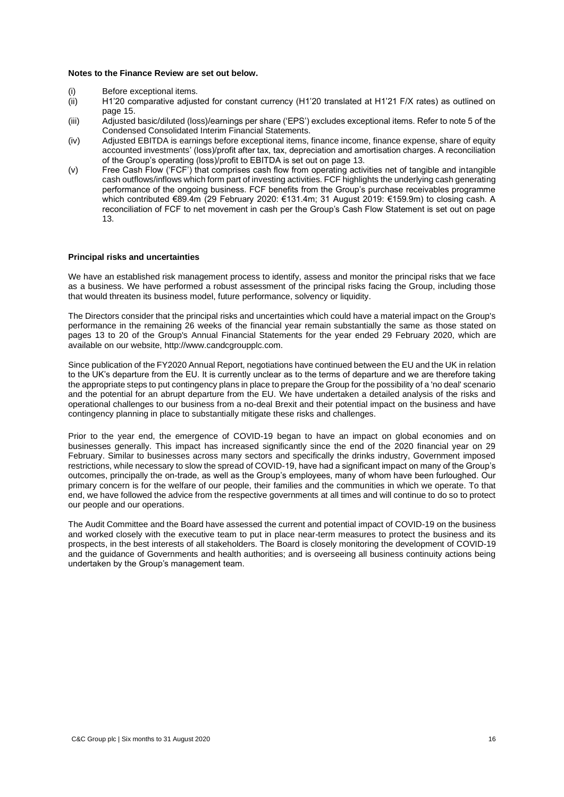## **Notes to the Finance Review are set out below.**

- (i) Before exceptional items.
- $(iii)$  H1'20 comparative adjusted for constant currency (H1'20 translated at H1'21 F/X rates) as outlined on page 15.
- (iii) Adjusted basic/diluted (loss)/earnings per share ('EPS') excludes exceptional items. Refer to note 5 of the Condensed Consolidated Interim Financial Statements.
- (iv) Adjusted EBITDA is earnings before exceptional items, finance income, finance expense, share of equity accounted investments' (loss)/profit after tax, tax, depreciation and amortisation charges. A reconciliation of the Group's operating (loss)/profit to EBITDA is set out on page 13.
- (v) Free Cash Flow ('FCF') that comprises cash flow from operating activities net of tangible and intangible cash outflows/inflows which form part of investing activities. FCF highlights the underlying cash generating performance of the ongoing business. FCF benefits from the Group's purchase receivables programme which contributed €89.4m (29 February 2020: €131.4m; 31 August 2019: €159.9m) to closing cash. A reconciliation of FCF to net movement in cash per the Group's Cash Flow Statement is set out on page 13.

#### **Principal risks and uncertainties**

We have an established risk management process to identify, assess and monitor the principal risks that we face as a business. We have performed a robust assessment of the principal risks facing the Group, including those that would threaten its business model, future performance, solvency or liquidity.

The Directors consider that the principal risks and uncertainties which could have a material impact on the Group's performance in the remaining 26 weeks of the financial year remain substantially the same as those stated on pages 13 to 20 of the Group's Annual Financial Statements for the year ended 29 February 2020, which are available on our website[, http://www.candcgroupplc.com.](http://www.candcgroupplc.com/)

Since publication of the FY2020 Annual Report, negotiations have continued between the EU and the UK in relation to the UK's departure from the EU. It is currently unclear as to the terms of departure and we are therefore taking the appropriate steps to put contingency plans in place to prepare the Group for the possibility of a 'no deal' scenario and the potential for an abrupt departure from the EU. We have undertaken a detailed analysis of the risks and operational challenges to our business from a no-deal Brexit and their potential impact on the business and have contingency planning in place to substantially mitigate these risks and challenges.

Prior to the year end, the emergence of COVID-19 began to have an impact on global economies and on businesses generally. This impact has increased significantly since the end of the 2020 financial year on 29 February. Similar to businesses across many sectors and specifically the drinks industry, Government imposed restrictions, while necessary to slow the spread of COVID-19, have had a significant impact on many of the Group's outcomes, principally the on-trade, as well as the Group's employees, many of whom have been furloughed. Our primary concern is for the welfare of our people, their families and the communities in which we operate. To that end, we have followed the advice from the respective governments at all times and will continue to do so to protect our people and our operations.

The Audit Committee and the Board have assessed the current and potential impact of COVID-19 on the business and worked closely with the executive team to put in place near-term measures to protect the business and its prospects, in the best interests of all stakeholders. The Board is closely monitoring the development of COVID-19 and the guidance of Governments and health authorities; and is overseeing all business continuity actions being undertaken by the Group's management team.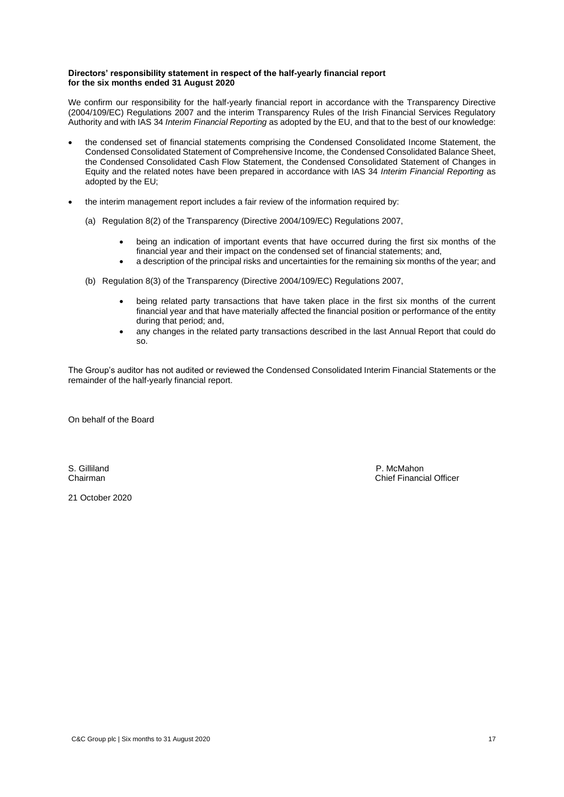## **Directors' responsibility statement in respect of the half-yearly financial report for the six months ended 31 August 2020**

We confirm our responsibility for the half-yearly financial report in accordance with the Transparency Directive (2004/109/EC) Regulations 2007 and the interim Transparency Rules of the Irish Financial Services Regulatory Authority and with IAS 34 *Interim Financial Reporting* as adopted by the EU, and that to the best of our knowledge:

- the condensed set of financial statements comprising the Condensed Consolidated Income Statement, the Condensed Consolidated Statement of Comprehensive Income, the Condensed Consolidated Balance Sheet, the Condensed Consolidated Cash Flow Statement, the Condensed Consolidated Statement of Changes in Equity and the related notes have been prepared in accordance with IAS 34 *Interim Financial Reporting* as adopted by the EU;
- the interim management report includes a fair review of the information required by:
	- (a) Regulation 8(2) of the Transparency (Directive 2004/109/EC) Regulations 2007,
		- being an indication of important events that have occurred during the first six months of the financial year and their impact on the condensed set of financial statements; and,
		- a description of the principal risks and uncertainties for the remaining six months of the year; and
	- (b) Regulation 8(3) of the Transparency (Directive 2004/109/EC) Regulations 2007,
		- being related party transactions that have taken place in the first six months of the current financial year and that have materially affected the financial position or performance of the entity during that period; and,
		- any changes in the related party transactions described in the last Annual Report that could do so.

The Group's auditor has not audited or reviewed the Condensed Consolidated Interim Financial Statements or the remainder of the half-yearly financial report.

On behalf of the Board

21 October 2020

S. Gilliland P. McMahon Chairman Chief Financial Officer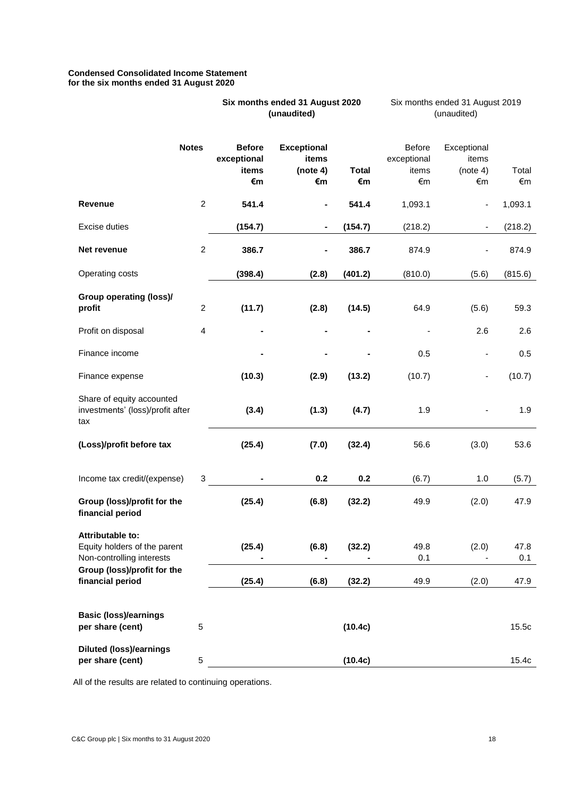# **Condensed Consolidated Income Statement for the six months ended 31 August 2020**

|                                                                               |                | Six months ended 31 August 2020<br>(unaudited) |                                               |                    | Six months ended 31 August 2019<br>(unaudited) |                                        |             |
|-------------------------------------------------------------------------------|----------------|------------------------------------------------|-----------------------------------------------|--------------------|------------------------------------------------|----------------------------------------|-------------|
|                                                                               | <b>Notes</b>   | <b>Before</b><br>exceptional<br>items<br>€m    | <b>Exceptional</b><br>items<br>(note 4)<br>€m | <b>Total</b><br>€m | Before<br>exceptional<br>items<br>€m           | Exceptional<br>items<br>(note 4)<br>€m | Total<br>€m |
| Revenue                                                                       | $\overline{c}$ | 541.4                                          |                                               | 541.4              | 1,093.1                                        |                                        | 1,093.1     |
| Excise duties                                                                 |                | (154.7)                                        | ۰                                             | (154.7)            | (218.2)                                        |                                        | (218.2)     |
| Net revenue                                                                   | $\overline{c}$ | 386.7                                          |                                               | 386.7              | 874.9                                          |                                        | 874.9       |
| Operating costs                                                               |                | (398.4)                                        | (2.8)                                         | (401.2)            | (810.0)                                        | (5.6)                                  | (815.6)     |
| <b>Group operating (loss)/</b><br>profit                                      | $\overline{c}$ | (11.7)                                         | (2.8)                                         | (14.5)             | 64.9                                           | (5.6)                                  | 59.3        |
| Profit on disposal                                                            | 4              |                                                |                                               |                    |                                                | 2.6                                    | 2.6         |
| Finance income                                                                |                |                                                |                                               |                    | 0.5                                            |                                        | 0.5         |
| Finance expense                                                               |                | (10.3)                                         | (2.9)                                         | (13.2)             | (10.7)                                         |                                        | (10.7)      |
| Share of equity accounted<br>investments' (loss)/profit after<br>tax          |                | (3.4)                                          | (1.3)                                         | (4.7)              | 1.9                                            |                                        | 1.9         |
| (Loss)/profit before tax                                                      |                | (25.4)                                         | (7.0)                                         | (32.4)             | 56.6                                           | (3.0)                                  | 53.6        |
| Income tax credit/(expense)                                                   | 3              |                                                | 0.2                                           | 0.2                | (6.7)                                          | 1.0                                    | (5.7)       |
| Group (loss)/profit for the<br>financial period                               |                | (25.4)                                         | (6.8)                                         | (32.2)             | 49.9                                           | (2.0)                                  | 47.9        |
| Attributable to:<br>Equity holders of the parent<br>Non-controlling interests |                | (25.4)                                         | (6.8)                                         | (32.2)             | 49.8<br>0.1                                    | (2.0)                                  | 47.8<br>0.1 |
| Group (loss)/profit for the<br>financial period                               |                | (25.4)                                         | (6.8)                                         | (32.2)             | 49.9                                           | (2.0)                                  | 47.9        |
| <b>Basic (loss)/earnings</b><br>per share (cent)                              | 5              |                                                |                                               | (10.4c)            |                                                |                                        | 15.5c       |
| <b>Diluted (loss)/earnings</b><br>per share (cent)                            | $\mathbf 5$    |                                                |                                               | (10.4c)            |                                                |                                        | 15.4c       |

All of the results are related to continuing operations.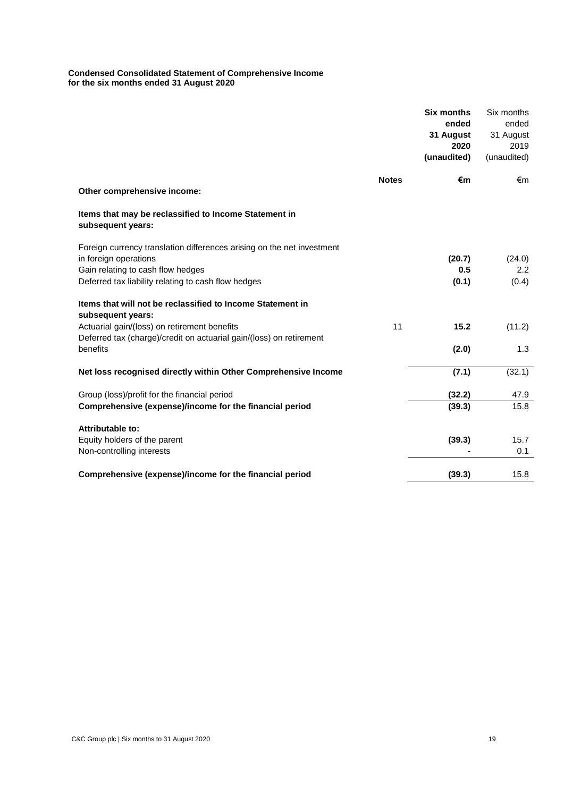#### **Condensed Consolidated Statement of Comprehensive Income for the six months ended 31 August 2020**

|                                                                            |              | <b>Six months</b><br>ended<br>31 August<br>2020<br>(unaudited) | Six months<br>ended<br>31 August<br>2019<br>(unaudited) |
|----------------------------------------------------------------------------|--------------|----------------------------------------------------------------|---------------------------------------------------------|
| Other comprehensive income:                                                | <b>Notes</b> | €m                                                             | €m                                                      |
|                                                                            |              |                                                                |                                                         |
| Items that may be reclassified to Income Statement in<br>subsequent years: |              |                                                                |                                                         |
| Foreign currency translation differences arising on the net investment     |              |                                                                |                                                         |
| in foreign operations                                                      |              | (20.7)                                                         | (24.0)                                                  |
| Gain relating to cash flow hedges                                          |              | 0.5                                                            | 2.2                                                     |
| Deferred tax liability relating to cash flow hedges                        |              | (0.1)                                                          | (0.4)                                                   |
| Items that will not be reclassified to Income Statement in                 |              |                                                                |                                                         |
| subsequent years:                                                          |              |                                                                |                                                         |
| Actuarial gain/(loss) on retirement benefits                               | 11           | 15.2                                                           | (11.2)                                                  |
| Deferred tax (charge)/credit on actuarial gain/(loss) on retirement        |              |                                                                |                                                         |
| benefits                                                                   |              | (2.0)                                                          | 1.3                                                     |
| Net loss recognised directly within Other Comprehensive Income             |              | (7.1)                                                          | (32.1)                                                  |
| Group (loss)/profit for the financial period                               |              | (32.2)                                                         | 47.9                                                    |
| Comprehensive (expense)/income for the financial period                    |              | (39.3)                                                         | 15.8                                                    |
| Attributable to:                                                           |              |                                                                |                                                         |
| Equity holders of the parent                                               |              | (39.3)                                                         | 15.7                                                    |
| Non-controlling interests                                                  |              |                                                                | 0.1                                                     |
| Comprehensive (expense)/income for the financial period                    |              | (39.3)                                                         | 15.8                                                    |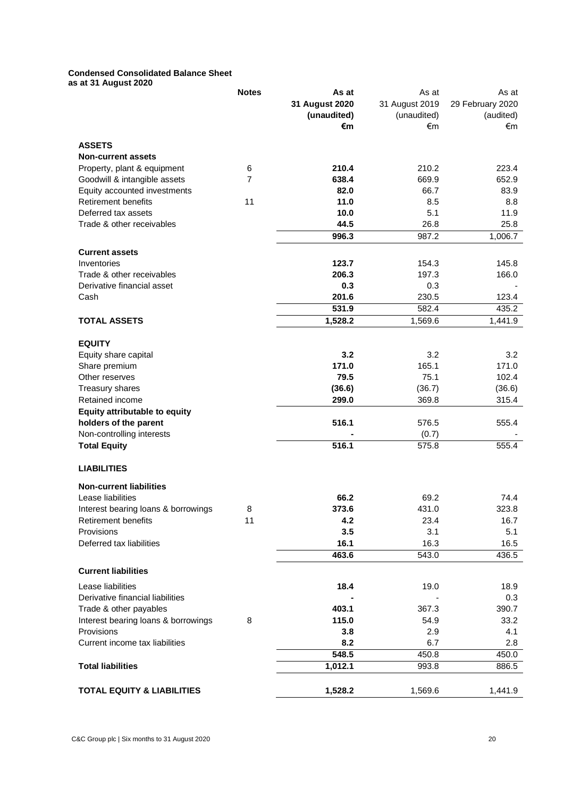# **Condensed Consolidated Balance Sheet**

**as at 31 August 2020**

|                                                   | <b>Notes</b>   | As at          | As at          | As at            |
|---------------------------------------------------|----------------|----------------|----------------|------------------|
|                                                   |                | 31 August 2020 | 31 August 2019 | 29 February 2020 |
|                                                   |                | (unaudited)    | (unaudited)    | (audited)        |
|                                                   |                | €m             | €m             | €m               |
| <b>ASSETS</b>                                     |                |                |                |                  |
|                                                   |                |                |                |                  |
| <b>Non-current assets</b>                         |                |                |                |                  |
| Property, plant & equipment                       | 6              | 210.4          | 210.2          | 223.4            |
| Goodwill & intangible assets                      | $\overline{7}$ | 638.4          | 669.9          | 652.9            |
| Equity accounted investments                      |                | 82.0           | 66.7           | 83.9             |
| <b>Retirement benefits</b>                        | 11             | 11.0           | 8.5            | 8.8              |
| Deferred tax assets                               |                | 10.0           | 5.1            | 11.9             |
| Trade & other receivables                         |                | 44.5           | 26.8           | 25.8             |
|                                                   |                | 996.3          | 987.2          | 1,006.7          |
| <b>Current assets</b>                             |                |                |                |                  |
| Inventories                                       |                | 123.7          | 154.3          | 145.8            |
| Trade & other receivables                         |                | 206.3          | 197.3          | 166.0            |
| Derivative financial asset                        |                | 0.3            | 0.3            |                  |
| Cash                                              |                | 201.6          | 230.5          | 123.4            |
|                                                   |                | 531.9          | 582.4          | 435.2            |
| <b>TOTAL ASSETS</b>                               |                | 1,528.2        | 1,569.6        | 1,441.9          |
|                                                   |                |                |                |                  |
| <b>EQUITY</b>                                     |                |                |                |                  |
| Equity share capital                              |                | 3.2            | 3.2            | 3.2              |
| Share premium                                     |                | 171.0          | 165.1          | 171.0            |
| Other reserves                                    |                | 79.5           | 75.1           | 102.4            |
| <b>Treasury shares</b>                            |                | (36.6)         | (36.7)         | (36.6)           |
| Retained income                                   |                | 299.0          | 369.8          | 315.4            |
| <b>Equity attributable to equity</b>              |                |                |                |                  |
| holders of the parent                             |                | 516.1          | 576.5          | 555.4            |
| Non-controlling interests                         |                |                | (0.7)          |                  |
| <b>Total Equity</b>                               |                | 516.1          | 575.8          | 555.4            |
|                                                   |                |                |                |                  |
| <b>LIABILITIES</b>                                |                |                |                |                  |
| <b>Non-current liabilities</b>                    |                |                |                |                  |
| Lease liabilities                                 |                | 66.2           | 69.2           | 74.4             |
| Interest bearing loans & borrowings               | 8              | 373.6          | 431.0          | 323.8            |
| <b>Retirement benefits</b>                        | 11             | 4.2            | 23.4           | 16.7             |
| Provisions                                        |                | 3.5            | 3.1            | 5.1              |
| Deferred tax liabilities                          |                | 16.1           | 16.3           | 16.5             |
|                                                   |                | 463.6          | 543.0          | 436.5            |
| <b>Current liabilities</b>                        |                |                |                |                  |
| Lease liabilities                                 |                | 18.4           | 19.0           | 18.9             |
| Derivative financial liabilities                  |                |                |                | 0.3              |
|                                                   |                | 403.1          | 367.3          | 390.7            |
| Trade & other payables                            |                |                |                |                  |
| Interest bearing loans & borrowings<br>Provisions | 8              | 115.0          | 54.9           | 33.2             |
|                                                   |                | 3.8            | 2.9            | 4.1              |
| Current income tax liabilities                    |                | 8.2            | 6.7            | 2.8              |
|                                                   |                | 548.5          | 450.8          | 450.0            |
| <b>Total liabilities</b>                          |                | 1,012.1        | 993.8          | 886.5            |
|                                                   |                |                |                |                  |
| <b>TOTAL EQUITY &amp; LIABILITIES</b>             |                | 1,528.2        | 1,569.6        | 1,441.9          |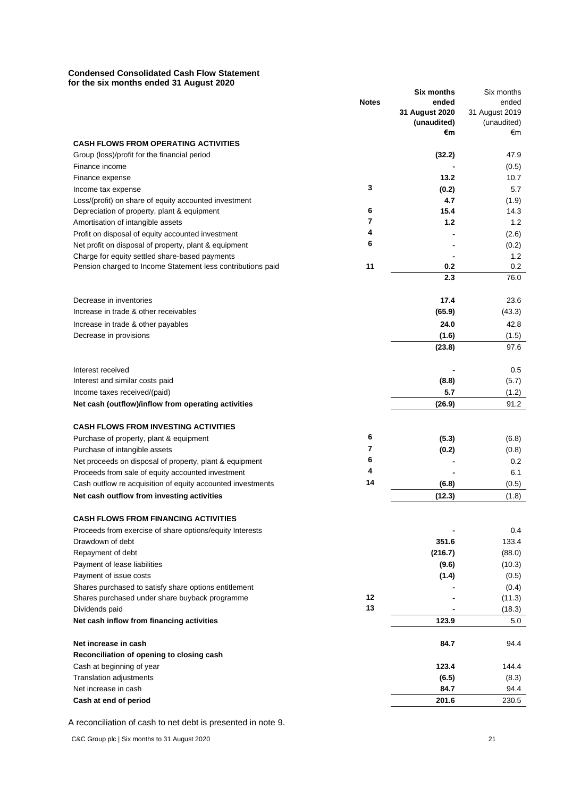# **Condensed Consolidated Cash Flow Statement for the six months ended 31 August 2020**

|                                                             |              | <b>Six months</b> | Six months       |
|-------------------------------------------------------------|--------------|-------------------|------------------|
|                                                             | <b>Notes</b> | ended             | ended            |
|                                                             |              | 31 August 2020    | 31 August 2019   |
|                                                             |              | (unaudited)       | (unaudited)      |
|                                                             |              | €m                | €m               |
| <b>CASH FLOWS FROM OPERATING ACTIVITIES</b>                 |              |                   |                  |
| Group (loss)/profit for the financial period                |              | (32.2)            | 47.9             |
| Finance income                                              |              |                   | (0.5)            |
| Finance expense                                             |              | 13.2              | 10.7             |
| Income tax expense                                          | 3            | (0.2)             | 5.7              |
| Loss/(profit) on share of equity accounted investment       |              | 4.7               | (1.9)            |
| Depreciation of property, plant & equipment                 | 6            | 15.4              | 14.3             |
| Amortisation of intangible assets                           | 7            | 1.2               | 1.2              |
| Profit on disposal of equity accounted investment           | 4            |                   | (2.6)            |
| Net profit on disposal of property, plant & equipment       | 6            |                   | (0.2)            |
| Charge for equity settled share-based payments              |              |                   | 1.2              |
| Pension charged to Income Statement less contributions paid | 11           | 0.2               | 0.2 <sub>0</sub> |
|                                                             |              | 2.3               | 76.0             |
|                                                             |              |                   |                  |
| Decrease in inventories                                     |              | 17.4              | 23.6             |
| Increase in trade & other receivables                       |              | (65.9)            | (43.3)           |
| Increase in trade & other payables                          |              | 24.0              | 42.8             |
| Decrease in provisions                                      |              | (1.6)             | (1.5)            |
|                                                             |              | (23.8)            | 97.6             |
|                                                             |              |                   |                  |
| Interest received                                           |              |                   | 0.5              |
| Interest and similar costs paid                             |              | (8.8)             | (5.7)            |
| Income taxes received/(paid)                                |              | 5.7               | (1.2)            |
| Net cash (outflow)/inflow from operating activities         |              | (26.9)            | 91.2             |
|                                                             |              |                   |                  |
| <b>CASH FLOWS FROM INVESTING ACTIVITIES</b>                 |              |                   |                  |
| Purchase of property, plant & equipment                     | 6            | (5.3)             | (6.8)            |
| Purchase of intangible assets                               | 7            | (0.2)             | (0.8)            |
| Net proceeds on disposal of property, plant & equipment     | 6            |                   | 0.2              |
| Proceeds from sale of equity accounted investment           | 4            |                   | 6.1              |
| Cash outflow re acquisition of equity accounted investments | 14           | (6.8)             | (0.5)            |
| Net cash outflow from investing activities                  |              | (12.3)            | (1.8)            |
|                                                             |              |                   |                  |
| <b>CASH FLOWS FROM FINANCING ACTIVITIES</b>                 |              |                   |                  |
| Proceeds from exercise of share options/equity Interests    |              |                   | 0.4              |
| Drawdown of debt                                            |              | 351.6             | 133.4            |
| Repayment of debt                                           |              | (216.7)           | (88.0)           |
| Payment of lease liabilities                                |              | (9.6)             | (10.3)           |
| Payment of issue costs                                      |              | (1.4)             | (0.5)            |
|                                                             |              |                   |                  |
| Shares purchased to satisfy share options entitlement       | $12 \,$      |                   | (0.4)            |
| Shares purchased under share buyback programme              | 13           |                   | (11.3)           |
| Dividends paid                                              |              |                   | (18.3)           |
| Net cash inflow from financing activities                   |              | 123.9             | 5.0              |
|                                                             |              |                   |                  |
| Net increase in cash                                        |              | 84.7              | 94.4             |
| Reconciliation of opening to closing cash                   |              |                   |                  |
| Cash at beginning of year                                   |              | 123.4             | 144.4            |
| Translation adjustments                                     |              | (6.5)             | (8.3)            |
| Net increase in cash                                        |              | 84.7              | 94.4             |
| Cash at end of period                                       |              | 201.6             | 230.5            |

A reconciliation of cash to net debt is presented in note 9.

C&C Group plc | Six months to 31 August 2020 21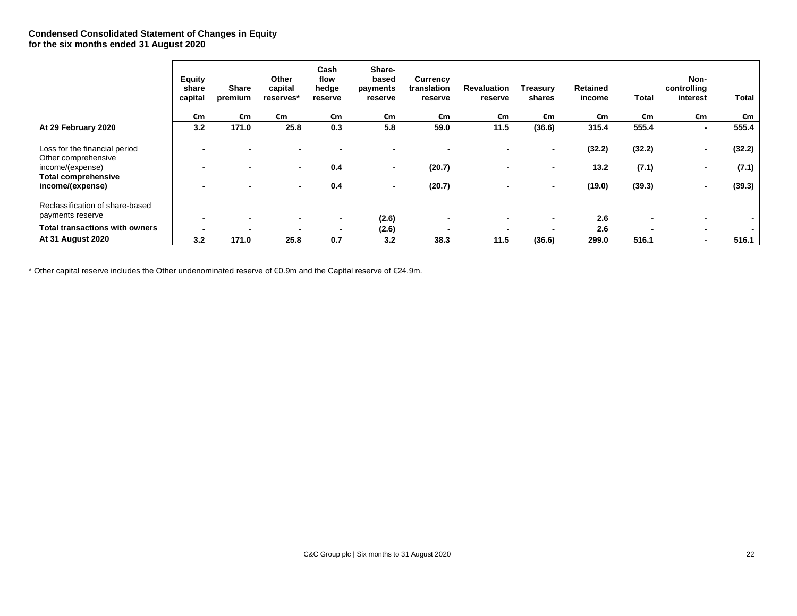|                                                      | <b>Equity</b><br>share<br>capital | Share<br>premium         | Other<br>capital<br>reserves* | Cash<br>flow<br>hedge<br>reserve | Share-<br>based<br>payments<br>reserve | Currency<br>translation<br>reserve | <b>Revaluation</b><br>reserve | <b>Treasury</b><br>shares | <b>Retained</b><br>income | <b>Total</b> | Non-<br>controlling<br>interest | Total                    |
|------------------------------------------------------|-----------------------------------|--------------------------|-------------------------------|----------------------------------|----------------------------------------|------------------------------------|-------------------------------|---------------------------|---------------------------|--------------|---------------------------------|--------------------------|
|                                                      | €m                                | €m                       | €m                            | €m                               | €m                                     | €m                                 | €m                            | €m                        | €m                        | €m           | €m                              | €m                       |
| At 29 February 2020                                  | 3.2                               | 171.0                    | 25.8                          | 0.3                              | 5.8                                    | 59.0                               | 11.5                          | (36.6)                    | 315.4                     | 555.4        |                                 | 555.4                    |
| Loss for the financial period<br>Other comprehensive |                                   |                          |                               |                                  |                                        |                                    |                               | $\blacksquare$            | (32.2)                    | (32.2)       |                                 | (32.2)                   |
| income/(expense)                                     |                                   | $\overline{\phantom{a}}$ | $\blacksquare$                | 0.4                              |                                        | (20.7)                             |                               | $\blacksquare$            | 13.2                      | (7.1)        |                                 | (7.1)                    |
| <b>Total comprehensive</b><br>income/(expense)       |                                   | $\overline{\phantom{a}}$ | $\blacksquare$                | 0.4                              | $\blacksquare$                         | (20.7)                             |                               | $\blacksquare$            | (19.0)                    | (39.3)       |                                 | (39.3)                   |
| Reclassification of share-based<br>payments reserve  | $\,$                              |                          | $\blacksquare$                |                                  | (2.6)                                  |                                    |                               | $\blacksquare$            | 2.6                       |              |                                 | $\overline{\phantom{0}}$ |
| <b>Total transactions with owners</b>                |                                   |                          |                               |                                  | (2.6)                                  |                                    |                               |                           | 2.6                       |              |                                 | $\blacksquare$           |
| <b>At 31 August 2020</b>                             | 3.2                               | 171.0                    | 25.8                          | 0.7                              | 3.2                                    | 38.3                               | 11.5                          | (36.6)                    | 299.0                     | 516.1        |                                 | 516.1                    |

\* Other capital reserve includes the Other undenominated reserve of €0.9m and the Capital reserve of €24.9m.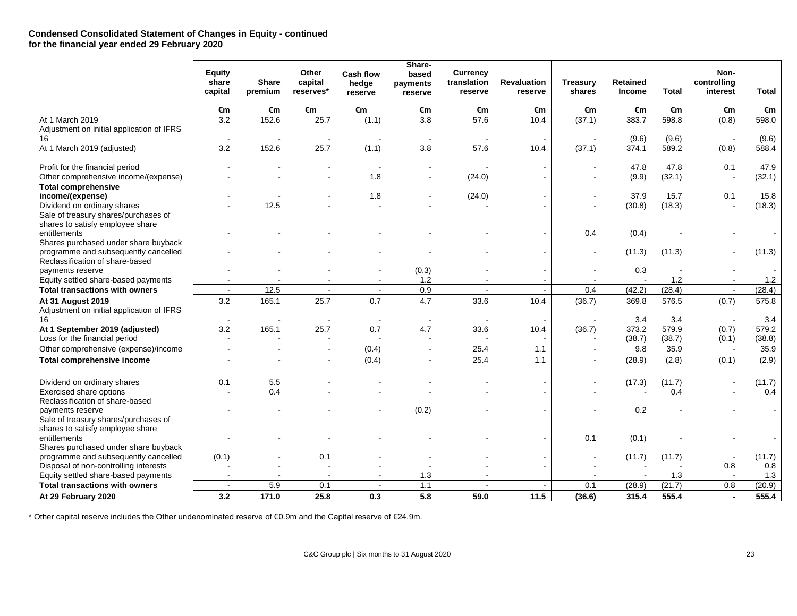|                                                                          | <b>Equity</b><br>share<br>capital | <b>Share</b><br>premium  | Other<br>capital<br>reserves* | <b>Cash flow</b><br>hedge<br>reserve | Share-<br>based<br>payments<br>reserve | <b>Currency</b><br>translation<br>reserve | Revaluation<br>reserve | <b>Treasury</b><br>shares | Retained<br>Income | <b>Total</b> | Non-<br>controlling<br>interest   | Total        |
|--------------------------------------------------------------------------|-----------------------------------|--------------------------|-------------------------------|--------------------------------------|----------------------------------------|-------------------------------------------|------------------------|---------------------------|--------------------|--------------|-----------------------------------|--------------|
|                                                                          | €m                                | €m                       | €m                            | €m                                   | €m                                     | €m                                        | €m                     | €m                        | €m                 | €m           | €m                                | €m           |
| At 1 March 2019                                                          | 3.2                               | 152.6                    | 25.7                          | (1.1)                                | 3.8                                    | 57.6                                      | 10.4                   | (37.1)                    | 383.7              | 598.8        | (0.8)                             | 598.0        |
| Adjustment on initial application of IFRS<br>16                          |                                   |                          |                               |                                      |                                        |                                           |                        |                           | (9.6)              | (9.6)        | <b>.</b>                          | (9.6)        |
| At 1 March 2019 (adjusted)                                               | 3.2                               | 152.6                    | 25.7                          | (1.1)                                | 3.8                                    | 57.6                                      | 10.4                   | (37.1)                    | 374.1              | 589.2        | (0.8)                             | 588.4        |
| Profit for the financial period                                          |                                   |                          |                               |                                      |                                        |                                           |                        |                           | 47.8               | 47.8         | 0.1                               | 47.9         |
| Other comprehensive income/(expense)<br><b>Total comprehensive</b>       |                                   | $\blacksquare$           | $\overline{a}$                | 1.8                                  | $\blacksquare$                         | (24.0)                                    |                        | $\blacksquare$            | (9.9)              | (32.1)       | $\sim$                            | (32.1)       |
| income/(expense)                                                         |                                   |                          |                               | 1.8                                  |                                        | (24.0)                                    |                        |                           | 37.9               | 15.7         | 0.1                               | 15.8         |
| Dividend on ordinary shares                                              |                                   | 12.5                     |                               |                                      |                                        |                                           |                        |                           | (30.8)             | (18.3)       |                                   | (18.3)       |
| Sale of treasury shares/purchases of<br>shares to satisfy employee share |                                   |                          |                               |                                      |                                        |                                           |                        |                           |                    |              |                                   |              |
| entitlements                                                             |                                   |                          |                               |                                      |                                        |                                           |                        | 0.4                       | (0.4)              |              |                                   |              |
| Shares purchased under share buyback                                     |                                   |                          |                               |                                      |                                        |                                           |                        |                           |                    |              |                                   |              |
| programme and subsequently cancelled<br>Reclassification of share-based  |                                   |                          |                               |                                      |                                        |                                           |                        |                           | (11.3)             | (11.3)       |                                   | (11.3)       |
| payments reserve                                                         |                                   | $\overline{\phantom{a}}$ |                               |                                      | (0.3)                                  |                                           |                        |                           | 0.3                |              |                                   |              |
| Equity settled share-based payments                                      |                                   |                          |                               |                                      | 1.2                                    |                                           |                        |                           |                    | 1.2          |                                   | 1.2          |
| <b>Total transactions with owners</b>                                    | $\sim$                            | 12.5                     | $\overline{\phantom{a}}$      | $\blacksquare$                       | 0.9                                    | $\sim$                                    | $\sim$                 | 0.4                       | (42.2)             | (28.4)       | $\sim$                            | (28.4)       |
| <b>At 31 August 2019</b><br>Adjustment on initial application of IFRS    | 3.2                               | 165.1                    | 25.7                          | 0.7                                  | 4.7                                    | 33.6                                      | 10.4                   | (36.7)                    | 369.8              | 576.5        | (0.7)<br>$\overline{\phantom{a}}$ | 575.8        |
| 16<br>At 1 September 2019 (adjusted)                                     | $\sim$<br>3.2                     | 165.1                    | 25.7                          | 0.7                                  | 4.7                                    | 33.6                                      | 10.4                   | (36.7)                    | 3.4<br>373.2       | 3.4<br>579.9 | (0.7)                             | 3.4<br>579.2 |
| Loss for the financial period                                            | $\blacksquare$                    | $\blacksquare$           |                               |                                      |                                        |                                           |                        |                           | (38.7)             | (38.7)       | (0.1)                             | (38.8)       |
| Other comprehensive (expense)/income                                     | $\blacksquare$                    | $\sim$                   | $\sim$                        | (0.4)                                | $\sim$                                 | 25.4                                      | 1.1                    | $\sim$                    | 9.8                | 35.9         | $\overline{\phantom{a}}$          | 35.9         |
| Total comprehensive income                                               | ä,                                | $\blacksquare$           | $\overline{a}$                | (0.4)                                | $\sim$                                 | 25.4                                      | 1.1                    | $\sim$                    | (28.9)             | (2.8)        | (0.1)                             | (2.9)        |
| Dividend on ordinary shares                                              | 0.1                               | 5.5                      |                               |                                      |                                        |                                           |                        |                           | (17.3)             | (11.7)       |                                   | (11.7)       |
| Exercised share options                                                  |                                   | 0.4                      |                               |                                      |                                        |                                           |                        |                           |                    | 0.4          |                                   | 0.4          |
| Reclassification of share-based<br>payments reserve                      |                                   |                          |                               |                                      | (0.2)                                  |                                           |                        |                           | 0.2                |              |                                   |              |
| Sale of treasury shares/purchases of                                     |                                   |                          |                               |                                      |                                        |                                           |                        |                           |                    |              |                                   |              |
| shares to satisfy employee share                                         |                                   |                          |                               |                                      |                                        |                                           |                        |                           |                    |              |                                   |              |
| entitlements<br>Shares purchased under share buyback                     |                                   |                          |                               |                                      |                                        |                                           |                        | 0.1                       | (0.1)              |              |                                   |              |
| programme and subsequently cancelled                                     | (0.1)                             | $\blacksquare$           | 0.1                           |                                      |                                        |                                           |                        |                           | (11.7)             | (11.7)       |                                   | (11.7)       |
| Disposal of non-controlling interests                                    |                                   | $\overline{\phantom{a}}$ |                               |                                      |                                        |                                           |                        |                           |                    |              | 0.8                               | 0.8          |
| Equity settled share-based payments                                      | $\blacksquare$                    |                          |                               |                                      | 1.3                                    |                                           |                        |                           |                    | 1.3          |                                   | 1.3          |
| <b>Total transactions with owners</b>                                    | $\sim$                            | 5.9                      | 0.1                           | $\sim$                               | 1.1                                    |                                           |                        | 0.1                       | (28.9)             | (21.7)       | 0.8                               | (20.9)       |
| At 29 February 2020                                                      | 3.2                               | 171.0                    | 25.8                          | 0.3                                  | 5.8                                    | 59.0                                      | 11.5                   | (36.6)                    | 315.4              | 555.4        | $\blacksquare$                    | 555.4        |

\* Other capital reserve includes the Other undenominated reserve of €0.9m and the Capital reserve of €24.9m.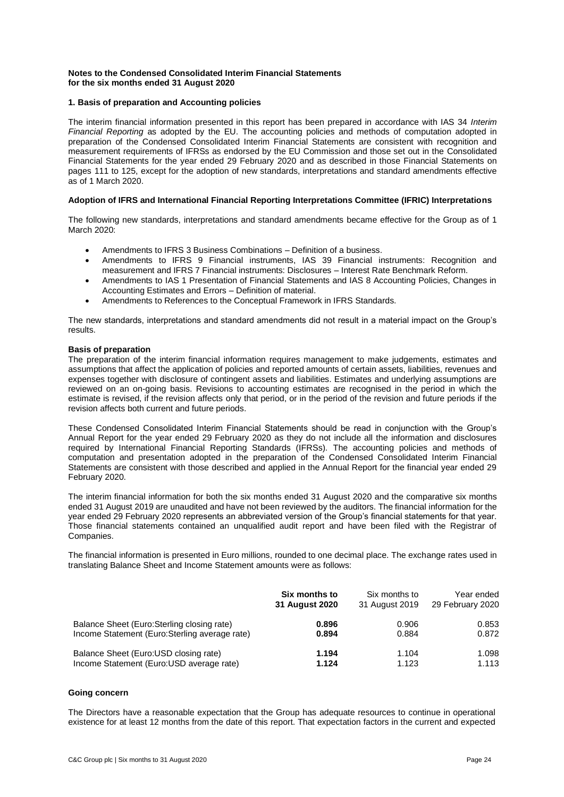## **Notes to the Condensed Consolidated Interim Financial Statements for the six months ended 31 August 2020**

## **1. Basis of preparation and Accounting policies**

The interim financial information presented in this report has been prepared in accordance with IAS 34 *Interim Financial Reporting* as adopted by the EU. The accounting policies and methods of computation adopted in preparation of the Condensed Consolidated Interim Financial Statements are consistent with recognition and measurement requirements of IFRSs as endorsed by the EU Commission and those set out in the Consolidated Financial Statements for the year ended 29 February 2020 and as described in those Financial Statements on pages 111 to 125, except for the adoption of new standards, interpretations and standard amendments effective as of 1 March 2020.

## **Adoption of IFRS and International Financial Reporting Interpretations Committee (IFRIC) Interpretations**

The following new standards, interpretations and standard amendments became effective for the Group as of 1 March 2020:

- Amendments to IFRS 3 Business Combinations Definition of a business.
- Amendments to IFRS 9 Financial instruments, IAS 39 Financial instruments: Recognition and measurement and IFRS 7 Financial instruments: Disclosures – Interest Rate Benchmark Reform.
- Amendments to IAS 1 Presentation of Financial Statements and IAS 8 Accounting Policies, Changes in Accounting Estimates and Errors – Definition of material.
- Amendments to References to the Conceptual Framework in IFRS Standards.

The new standards, interpretations and standard amendments did not result in a material impact on the Group's results.

## **Basis of preparation**

The preparation of the interim financial information requires management to make judgements, estimates and assumptions that affect the application of policies and reported amounts of certain assets, liabilities, revenues and expenses together with disclosure of contingent assets and liabilities. Estimates and underlying assumptions are reviewed on an on-going basis. Revisions to accounting estimates are recognised in the period in which the estimate is revised, if the revision affects only that period, or in the period of the revision and future periods if the revision affects both current and future periods.

These Condensed Consolidated Interim Financial Statements should be read in conjunction with the Group's Annual Report for the year ended 29 February 2020 as they do not include all the information and disclosures required by International Financial Reporting Standards (IFRSs). The accounting policies and methods of computation and presentation adopted in the preparation of the Condensed Consolidated Interim Financial Statements are consistent with those described and applied in the Annual Report for the financial year ended 29 February 2020.

The interim financial information for both the six months ended 31 August 2020 and the comparative six months ended 31 August 2019 are unaudited and have not been reviewed by the auditors. The financial information for the year ended 29 February 2020 represents an abbreviated version of the Group's financial statements for that year. Those financial statements contained an unqualified audit report and have been filed with the Registrar of Companies.

The financial information is presented in Euro millions, rounded to one decimal place. The exchange rates used in translating Balance Sheet and Income Statement amounts were as follows:

|                                                | Six months to  | Six months to  | Year ended       |
|------------------------------------------------|----------------|----------------|------------------|
|                                                | 31 August 2020 | 31 August 2019 | 29 February 2020 |
| Balance Sheet (Euro: Sterling closing rate)    | 0.896          | 0.906          | 0.853            |
| Income Statement (Euro: Sterling average rate) | 0.894          | 0.884          | 0.872            |
| Balance Sheet (Euro: USD closing rate)         | 1.194          | 1.104          | 1.098            |
| Income Statement (Euro: USD average rate)      | 1.124          | 1.123          | 1.113            |

## **Going concern**

The Directors have a reasonable expectation that the Group has adequate resources to continue in operational existence for at least 12 months from the date of this report. That expectation factors in the current and expected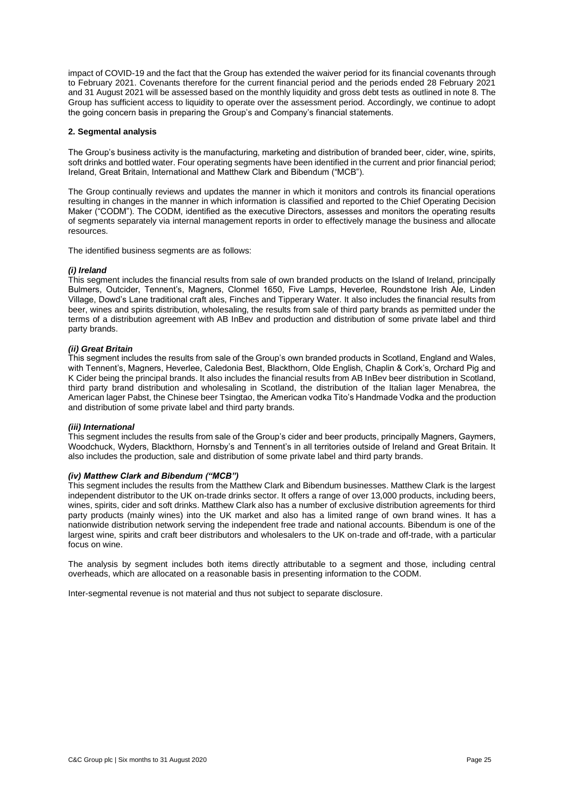impact of COVID-19 and the fact that the Group has extended the waiver period for its financial covenants through to February 2021. Covenants therefore for the current financial period and the periods ended 28 February 2021 and 31 August 2021 will be assessed based on the monthly liquidity and gross debt tests as outlined in note 8. The Group has sufficient access to liquidity to operate over the assessment period. Accordingly, we continue to adopt the going concern basis in preparing the Group's and Company's financial statements.

#### **2. Segmental analysis**

The Group's business activity is the manufacturing, marketing and distribution of branded beer, cider, wine, spirits, soft drinks and bottled water. Four operating segments have been identified in the current and prior financial period; Ireland, Great Britain, International and Matthew Clark and Bibendum ("MCB").

The Group continually reviews and updates the manner in which it monitors and controls its financial operations resulting in changes in the manner in which information is classified and reported to the Chief Operating Decision Maker ("CODM"). The CODM, identified as the executive Directors, assesses and monitors the operating results of segments separately via internal management reports in order to effectively manage the business and allocate resources.

The identified business segments are as follows:

## *(i) Ireland*

This segment includes the financial results from sale of own branded products on the Island of Ireland, principally Bulmers, Outcider, Tennent's, Magners, Clonmel 1650, Five Lamps, Heverlee, Roundstone Irish Ale, Linden Village, Dowd's Lane traditional craft ales, Finches and Tipperary Water. It also includes the financial results from beer, wines and spirits distribution, wholesaling, the results from sale of third party brands as permitted under the terms of a distribution agreement with AB InBev and production and distribution of some private label and third party brands.

# *(ii) Great Britain*

This segment includes the results from sale of the Group's own branded products in Scotland, England and Wales, with Tennent's, Magners, Heverlee, Caledonia Best, Blackthorn, Olde English, Chaplin & Cork's, Orchard Pig and K Cider being the principal brands. It also includes the financial results from AB InBev beer distribution in Scotland, third party brand distribution and wholesaling in Scotland, the distribution of the Italian lager Menabrea, the American lager Pabst, the Chinese beer Tsingtao, the American vodka Tito's Handmade Vodka and the production and distribution of some private label and third party brands.

#### *(iii) International*

This segment includes the results from sale of the Group's cider and beer products, principally Magners, Gaymers, Woodchuck, Wyders, Blackthorn, Hornsby's and Tennent's in all territories outside of Ireland and Great Britain. It also includes the production, sale and distribution of some private label and third party brands.

## *(iv) Matthew Clark and Bibendum ("MCB")*

This segment includes the results from the Matthew Clark and Bibendum businesses. Matthew Clark is the largest independent distributor to the UK on-trade drinks sector. It offers a range of over 13,000 products, including beers, wines, spirits, cider and soft drinks. Matthew Clark also has a number of exclusive distribution agreements for third party products (mainly wines) into the UK market and also has a limited range of own brand wines. It has a nationwide distribution network serving the independent free trade and national accounts. Bibendum is one of the largest wine, spirits and craft beer distributors and wholesalers to the UK on-trade and off-trade, with a particular focus on wine.

The analysis by segment includes both items directly attributable to a segment and those, including central overheads, which are allocated on a reasonable basis in presenting information to the CODM.

Inter-segmental revenue is not material and thus not subject to separate disclosure.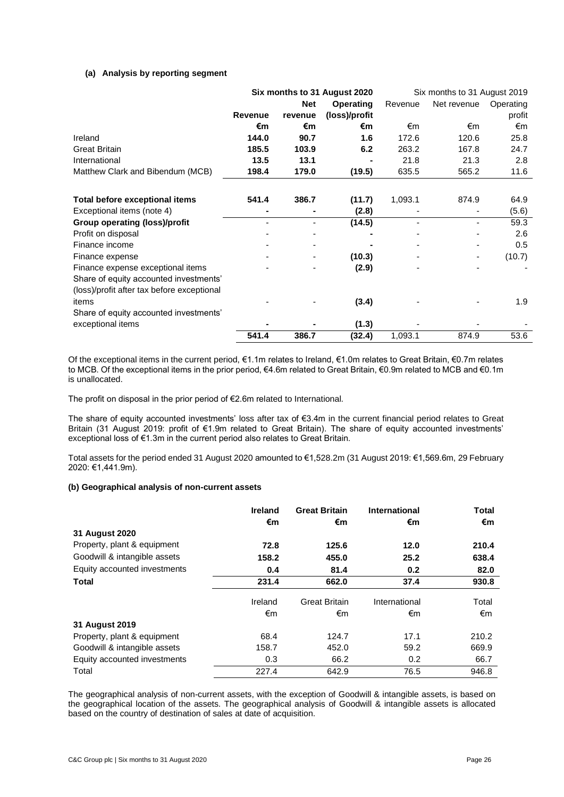## **(a) Analysis by reporting segment**

|                                            | Six months to 31 August 2020 |         |               | Six months to 31 August 2019 |             |           |  |
|--------------------------------------------|------------------------------|---------|---------------|------------------------------|-------------|-----------|--|
|                                            |                              | Net     | Operating     | Revenue                      | Net revenue | Operating |  |
|                                            | Revenue                      | revenue | (loss)/profit |                              |             | profit    |  |
|                                            | €m                           | €m      | €m            | €m                           | €m          | €m        |  |
| Ireland                                    | 144.0                        | 90.7    | 1.6           | 172.6                        | 120.6       | 25.8      |  |
| <b>Great Britain</b>                       | 185.5                        | 103.9   | 6.2           | 263.2                        | 167.8       | 24.7      |  |
| International                              | 13.5                         | 13.1    |               | 21.8                         | 21.3        | 2.8       |  |
| Matthew Clark and Bibendum (MCB)           | 198.4                        | 179.0   | (19.5)        | 635.5                        | 565.2       | 11.6      |  |
|                                            |                              |         |               |                              |             |           |  |
| <b>Total before exceptional items</b>      | 541.4                        | 386.7   | (11.7)        | 1,093.1                      | 874.9       | 64.9      |  |
| Exceptional items (note 4)                 |                              |         | (2.8)         |                              |             | (5.6)     |  |
| Group operating (loss)/profit              |                              | ٠       | (14.5)        |                              |             | 59.3      |  |
| Profit on disposal                         |                              |         |               |                              |             | 2.6       |  |
| Finance income                             |                              |         |               |                              |             | 0.5       |  |
| Finance expense                            |                              |         | (10.3)        |                              |             | (10.7)    |  |
| Finance expense exceptional items          |                              |         | (2.9)         |                              |             |           |  |
| Share of equity accounted investments'     |                              |         |               |                              |             |           |  |
| (loss)/profit after tax before exceptional |                              |         |               |                              |             |           |  |
| items                                      |                              |         | (3.4)         |                              |             | 1.9       |  |
| Share of equity accounted investments'     |                              |         |               |                              |             |           |  |
| exceptional items                          |                              |         | (1.3)         |                              |             |           |  |
|                                            | 541.4                        | 386.7   | (32.4)        | 1,093.1                      | 874.9       | 53.6      |  |

Of the exceptional items in the current period, €1.1m relates to Ireland, €1.0m relates to Great Britain, €0.7m relates to MCB. Of the exceptional items in the prior period, €4.6m related to Great Britain, €0.9m related to MCB and €0.1m is unallocated.

The profit on disposal in the prior period of €2.6m related to International.

The share of equity accounted investments' loss after tax of €3.4m in the current financial period relates to Great Britain (31 August 2019: profit of €1.9m related to Great Britain). The share of equity accounted investments' exceptional loss of €1.3m in the current period also relates to Great Britain.

Total assets for the period ended 31 August 2020 amounted to €1,528.2m (31 August 2019: €1,569.6m, 29 February 2020: €1,441.9m).

## **(b) Geographical analysis of non-current assets**

|                              | Ireland | <b>Great Britain</b> | <b>International</b> | <b>Total</b> |
|------------------------------|---------|----------------------|----------------------|--------------|
|                              | €m      | €m                   | €m                   | €m           |
| <b>31 August 2020</b>        |         |                      |                      |              |
| Property, plant & equipment  | 72.8    | 125.6                | 12.0                 | 210.4        |
| Goodwill & intangible assets | 158.2   | 455.0                | 25.2                 | 638.4        |
| Equity accounted investments | 0.4     | 81.4                 | 0.2                  | 82.0         |
| <b>Total</b>                 | 231.4   | 662.0                | 37.4                 | 930.8        |
|                              | Ireland | <b>Great Britain</b> | International        | Total        |
|                              | €m      | €m                   | €m                   | €m           |
| 31 August 2019               |         |                      |                      |              |
| Property, plant & equipment  | 68.4    | 124.7                | 17.1                 | 210.2        |
| Goodwill & intangible assets | 158.7   | 452.0                | 59.2                 | 669.9        |
| Equity accounted investments | 0.3     | 66.2                 | 0.2                  | 66.7         |
| Total                        | 227.4   | 642.9                | 76.5                 | 946.8        |

The geographical analysis of non-current assets, with the exception of Goodwill & intangible assets, is based on the geographical location of the assets. The geographical analysis of Goodwill & intangible assets is allocated based on the country of destination of sales at date of acquisition.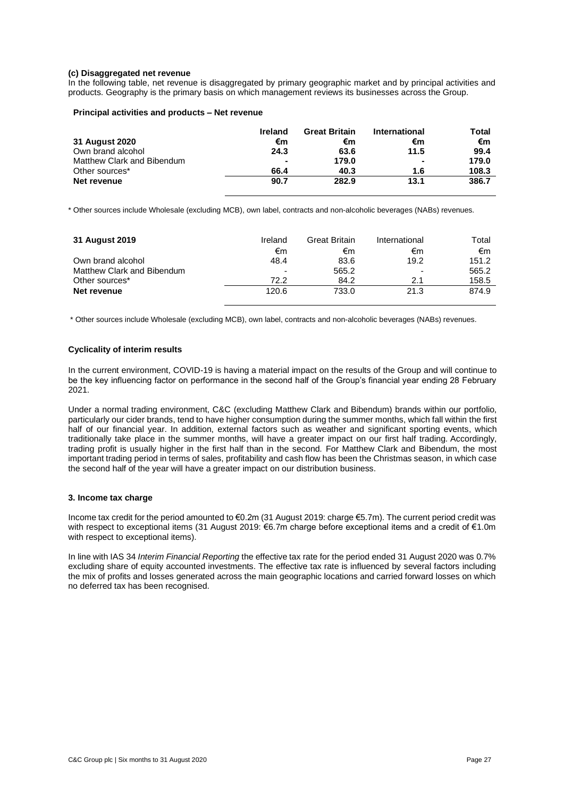## **(c) Disaggregated net revenue**

In the following table, net revenue is disaggregated by primary geographic market and by principal activities and products. Geography is the primary basis on which management reviews its businesses across the Group.

## **Principal activities and products – Net revenue**

|                            | <b>Ireland</b> | <b>Great Britain</b> | International  | Total |
|----------------------------|----------------|----------------------|----------------|-------|
| <b>31 August 2020</b>      | €m             | €m                   | €m             | €m    |
| Own brand alcohol          | 24.3           | 63.6                 | 11.5           | 99.4  |
| Matthew Clark and Bibendum | $\blacksquare$ | 179.0                | $\blacksquare$ | 179.0 |
| Other sources*             | 66.4           | 40.3                 | 1.6            | 108.3 |
| Net revenue                | 90.7           | 282.9                | 13.1           | 386.7 |

\* Other sources include Wholesale (excluding MCB), own label, contracts and non-alcoholic beverages (NABs) revenues.

| 31 August 2019             | Ireland | Great Britain | International            | Total |
|----------------------------|---------|---------------|--------------------------|-------|
|                            | €m      | €m            | €m                       | €m    |
| Own brand alcohol          | 48.4    | 83.6          | 19.2                     | 151.2 |
| Matthew Clark and Bibendum | -       | 565.2         | $\overline{\phantom{a}}$ | 565.2 |
| Other sources*             | 72.2    | 84.2          | 2.1                      | 158.5 |
| Net revenue                | 120.6   | 733.0         | 21.3                     | 874.9 |

\* Other sources include Wholesale (excluding MCB), own label, contracts and non-alcoholic beverages (NABs) revenues.

## **Cyclicality of interim results**

In the current environment, COVID-19 is having a material impact on the results of the Group and will continue to be the key influencing factor on performance in the second half of the Group's financial year ending 28 February 2021.

Under a normal trading environment, C&C (excluding Matthew Clark and Bibendum) brands within our portfolio, particularly our cider brands, tend to have higher consumption during the summer months, which fall within the first half of our financial year. In addition, external factors such as weather and significant sporting events, which traditionally take place in the summer months, will have a greater impact on our first half trading. Accordingly, trading profit is usually higher in the first half than in the second. For Matthew Clark and Bibendum, the most important trading period in terms of sales, profitability and cash flow has been the Christmas season, in which case the second half of the year will have a greater impact on our distribution business.

## **3. Income tax charge**

Income tax credit for the period amounted to €0.2m (31 August 2019: charge €5.7m). The current period credit was with respect to exceptional items (31 August 2019: €6.7m charge before exceptional items and a credit of €1.0m with respect to exceptional items).

In line with IAS 34 *Interim Financial Reporting* the effective tax rate for the period ended 31 August 2020 was 0.7% excluding share of equity accounted investments. The effective tax rate is influenced by several factors including the mix of profits and losses generated across the main geographic locations and carried forward losses on which no deferred tax has been recognised.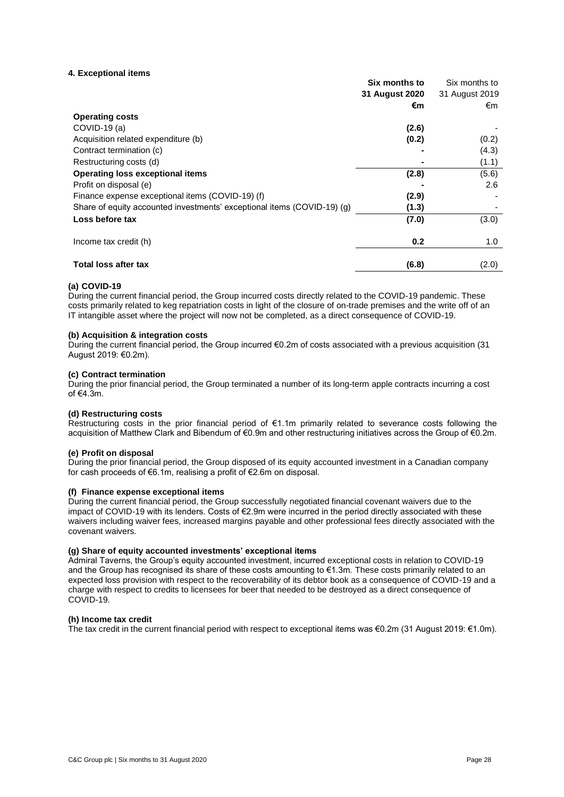## **4. Exceptional items**

|                                                                         | Six months to  | Six months to  |
|-------------------------------------------------------------------------|----------------|----------------|
|                                                                         | 31 August 2020 | 31 August 2019 |
|                                                                         | €m             | €m             |
| <b>Operating costs</b>                                                  |                |                |
| $COVID-19(a)$                                                           | (2.6)          |                |
| Acquisition related expenditure (b)                                     | (0.2)          | (0.2)          |
| Contract termination (c)                                                |                | (4.3)          |
| Restructuring costs (d)                                                 |                | (1.1)          |
| <b>Operating loss exceptional items</b>                                 | (2.8)          | (5.6)          |
| Profit on disposal (e)                                                  |                | 2.6            |
| Finance expense exceptional items (COVID-19) (f)                        | (2.9)          |                |
| Share of equity accounted investments' exceptional items (COVID-19) (g) | (1.3)          |                |
| Loss before tax                                                         | (7.0)          | (3.0)          |
| Income tax credit (h)                                                   | 0.2            | 1.0            |
| <b>Total loss after tax</b>                                             | (6.8)          | (2.0)          |

## **(a) COVID-19**

During the current financial period, the Group incurred costs directly related to the COVID-19 pandemic. These costs primarily related to keg repatriation costs in light of the closure of on-trade premises and the write off of an IT intangible asset where the project will now not be completed, as a direct consequence of COVID-19.

# **(b) Acquisition & integration costs**

During the current financial period, the Group incurred €0.2m of costs associated with a previous acquisition (31 August 2019: €0.2m).

#### **(c) Contract termination**

During the prior financial period, the Group terminated a number of its long-term apple contracts incurring a cost of €4.3m.

#### **(d) Restructuring costs**

Restructuring costs in the prior financial period of €1.1m primarily related to severance costs following the acquisition of Matthew Clark and Bibendum of €0.9m and other restructuring initiatives across the Group of €0.2m.

## **(e) Profit on disposal**

During the prior financial period, the Group disposed of its equity accounted investment in a Canadian company for cash proceeds of €6.1m, realising a profit of €2.6m on disposal.

#### **(f) Finance expense exceptional items**

During the current financial period, the Group successfully negotiated financial covenant waivers due to the impact of COVID-19 with its lenders. Costs of €2.9m were incurred in the period directly associated with these waivers including waiver fees, increased margins payable and other professional fees directly associated with the covenant waivers.

## **(g) Share of equity accounted investments' exceptional items**

Admiral Taverns, the Group's equity accounted investment, incurred exceptional costs in relation to COVID-19 and the Group has recognised its share of these costs amounting to €1.3m. These costs primarily related to an expected loss provision with respect to the recoverability of its debtor book as a consequence of COVID-19 and a charge with respect to credits to licensees for beer that needed to be destroyed as a direct consequence of COVID-19.

#### **(h) Income tax credit**

The tax credit in the current financial period with respect to exceptional items was €0.2m (31 August 2019: €1.0m).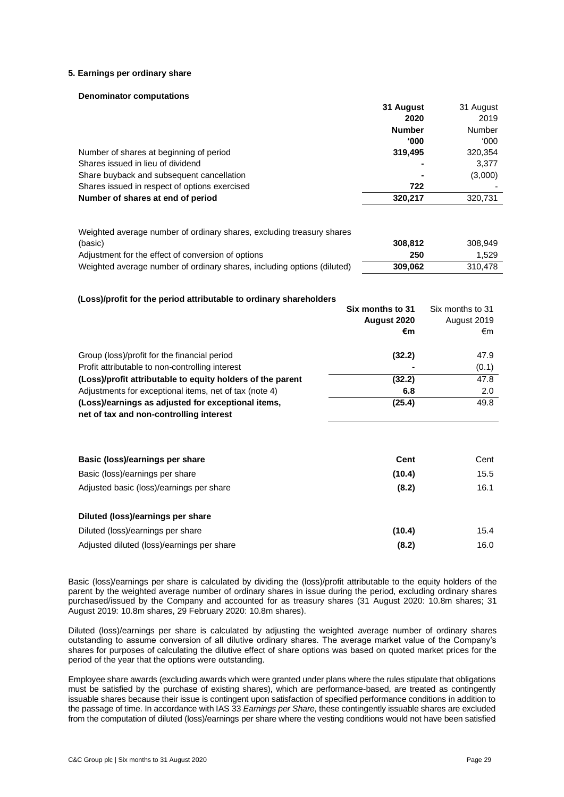## **5. Earnings per ordinary share**

## **Denominator computations**

|                                               | 31 August                | 31 August |
|-----------------------------------------------|--------------------------|-----------|
|                                               | 2020                     | 2019      |
|                                               | <b>Number</b>            | Number    |
|                                               | 000°                     | 000'      |
| Number of shares at beginning of period       | 319.495                  | 320,354   |
| Shares issued in lieu of dividend             | $\overline{\phantom{0}}$ | 3.377     |
| Share buyback and subsequent cancellation     | $\blacksquare$           | (3,000)   |
| Shares issued in respect of options exercised | 722                      |           |
| Number of shares at end of period             | 320.217                  | 320,731   |
|                                               |                          |           |

| Weighted average number of ordinary shares, excluding treasury shares   |         |         |
|-------------------------------------------------------------------------|---------|---------|
| (basic)                                                                 | 308.812 | 308.949 |
| Adjustment for the effect of conversion of options                      | 250     | 1.529   |
| Weighted average number of ordinary shares, including options (diluted) | 309.062 | 310.478 |

**Six months to 31** 

Six months to 31

## **(Loss)/profit for the period attributable to ordinary shareholders**

|                                                                                               | ו ט טו פוווועווואוט<br>August 2020<br>€m | ו ט טו פוווויוויווואוט<br>August 2019<br>€m |
|-----------------------------------------------------------------------------------------------|------------------------------------------|---------------------------------------------|
| Group (loss)/profit for the financial period                                                  | (32.2)                                   | 47.9                                        |
| Profit attributable to non-controlling interest                                               |                                          | (0.1)                                       |
| (Loss)/profit attributable to equity holders of the parent                                    | (32.2)                                   | 47.8                                        |
| Adjustments for exceptional items, net of tax (note 4)                                        | 6.8                                      | 2.0                                         |
| (Loss)/earnings as adjusted for exceptional items,<br>net of tax and non-controlling interest | (25.4)                                   | 49.8                                        |
| Basic (loss)/earnings per share                                                               | Cent                                     | Cent                                        |
| Basic (loss)/earnings per share                                                               | (10.4)                                   | 15.5                                        |
|                                                                                               |                                          |                                             |
| Adjusted basic (loss)/earnings per share                                                      | (8.2)                                    | 16.1                                        |
| Diluted (loss)/earnings per share                                                             |                                          |                                             |
| Diluted (loss)/earnings per share                                                             | (10.4)                                   | 15.4                                        |
| Adjusted diluted (loss)/earnings per share                                                    | (8.2)                                    | 16.0                                        |

Basic (loss)/earnings per share is calculated by dividing the (loss)/profit attributable to the equity holders of the parent by the weighted average number of ordinary shares in issue during the period, excluding ordinary shares purchased/issued by the Company and accounted for as treasury shares (31 August 2020: 10.8m shares; 31 August 2019: 10.8m shares, 29 February 2020: 10.8m shares).

Diluted (loss)/earnings per share is calculated by adjusting the weighted average number of ordinary shares outstanding to assume conversion of all dilutive ordinary shares. The average market value of the Company's shares for purposes of calculating the dilutive effect of share options was based on quoted market prices for the period of the year that the options were outstanding.

Employee share awards (excluding awards which were granted under plans where the rules stipulate that obligations must be satisfied by the purchase of existing shares), which are performance-based, are treated as contingently issuable shares because their issue is contingent upon satisfaction of specified performance conditions in addition to the passage of time. In accordance with IAS 33 *Earnings per Share*, these contingently issuable shares are excluded from the computation of diluted (loss)/earnings per share where the vesting conditions would not have been satisfied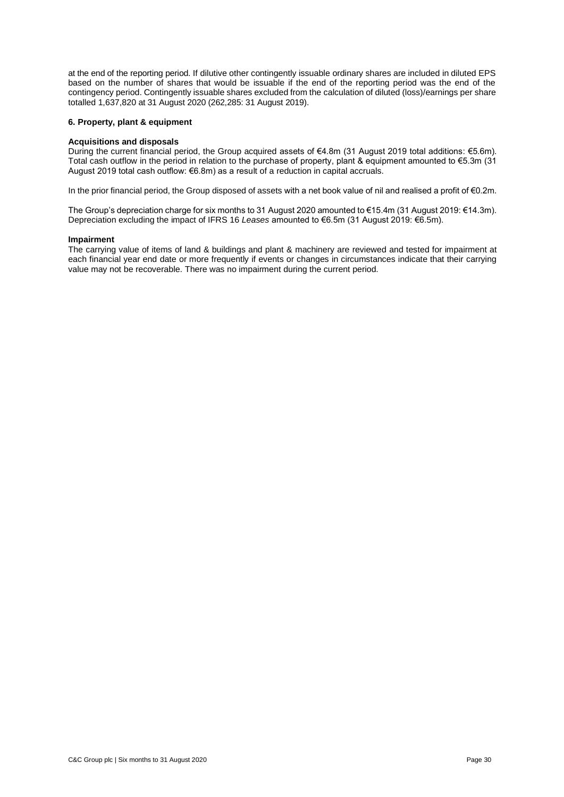at the end of the reporting period. If dilutive other contingently issuable ordinary shares are included in diluted EPS based on the number of shares that would be issuable if the end of the reporting period was the end of the contingency period. Contingently issuable shares excluded from the calculation of diluted (loss)/earnings per share totalled 1,637,820 at 31 August 2020 (262,285: 31 August 2019).

#### **6. Property, plant & equipment**

#### **Acquisitions and disposals**

During the current financial period, the Group acquired assets of €4.8m (31 August 2019 total additions: €5.6m). Total cash outflow in the period in relation to the purchase of property, plant & equipment amounted to €5.3m (31 August 2019 total cash outflow: €6.8m) as a result of a reduction in capital accruals.

In the prior financial period, the Group disposed of assets with a net book value of nil and realised a profit of €0.2m.

The Group's depreciation charge for six months to 31 August 2020 amounted to €15.4m (31 August 2019: €14.3m). Depreciation excluding the impact of IFRS 16 *Leases* amounted to €6.5m (31 August 2019: €6.5m).

#### **Impairment**

The carrying value of items of land & buildings and plant & machinery are reviewed and tested for impairment at each financial year end date or more frequently if events or changes in circumstances indicate that their carrying value may not be recoverable. There was no impairment during the current period.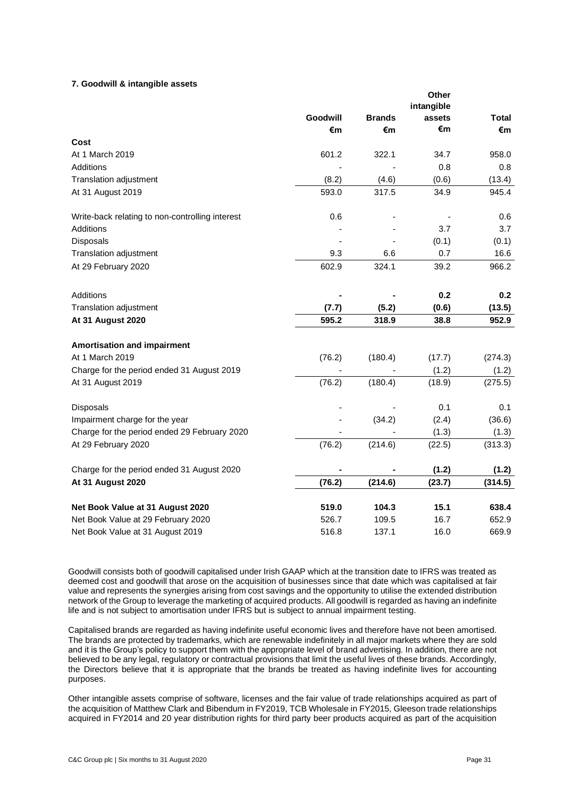# **7. Goodwill & intangible assets**

|                                                 |                 |               | Other      |              |
|-------------------------------------------------|-----------------|---------------|------------|--------------|
|                                                 |                 |               | intangible |              |
|                                                 | <b>Goodwill</b> | <b>Brands</b> | assets     | <b>Total</b> |
|                                                 | €m              | €m            | €m         | €m           |
| Cost                                            |                 |               |            |              |
| At 1 March 2019                                 | 601.2           | 322.1         | 34.7       | 958.0        |
| Additions                                       |                 |               | 0.8        | 0.8          |
| <b>Translation adjustment</b>                   | (8.2)           | (4.6)         | (0.6)      | (13.4)       |
| At 31 August 2019                               | 593.0           | 317.5         | 34.9       | 945.4        |
| Write-back relating to non-controlling interest | 0.6             |               |            | 0.6          |
| Additions                                       |                 |               | 3.7        | 3.7          |
| Disposals                                       |                 |               | (0.1)      | (0.1)        |
| Translation adjustment                          | 9.3             | 6.6           | 0.7        | 16.6         |
| At 29 February 2020                             | 602.9           | 324.1         | 39.2       | 966.2        |
| Additions                                       |                 |               | 0.2        | 0.2          |
| Translation adjustment                          | (7.7)           | (5.2)         | (0.6)      | (13.5)       |
| <b>At 31 August 2020</b>                        | 595.2           | 318.9         | 38.8       | 952.9        |
| Amortisation and impairment                     |                 |               |            |              |
| At 1 March 2019                                 | (76.2)          | (180.4)       | (17.7)     | (274.3)      |
| Charge for the period ended 31 August 2019      |                 |               | (1.2)      | (1.2)        |
| At 31 August 2019                               | (76.2)          | (180.4)       | (18.9)     | (275.5)      |
| Disposals                                       |                 |               | 0.1        | 0.1          |
| Impairment charge for the year                  |                 | (34.2)        | (2.4)      | (36.6)       |
| Charge for the period ended 29 February 2020    |                 |               | (1.3)      | (1.3)        |
| At 29 February 2020                             | (76.2)          | (214.6)       | (22.5)     | (313.3)      |
| Charge for the period ended 31 August 2020      |                 |               | (1.2)      | (1.2)        |
| <b>At 31 August 2020</b>                        | (76.2)          | (214.6)       | (23.7)     | (314.5)      |
| Net Book Value at 31 August 2020                | 519.0           | 104.3         | 15.1       | 638.4        |
| Net Book Value at 29 February 2020              | 526.7           | 109.5         | 16.7       | 652.9        |
| Net Book Value at 31 August 2019                | 516.8           | 137.1         | 16.0       | 669.9        |

Goodwill consists both of goodwill capitalised under Irish GAAP which at the transition date to IFRS was treated as deemed cost and goodwill that arose on the acquisition of businesses since that date which was capitalised at fair value and represents the synergies arising from cost savings and the opportunity to utilise the extended distribution network of the Group to leverage the marketing of acquired products. All goodwill is regarded as having an indefinite life and is not subject to amortisation under IFRS but is subject to annual impairment testing.

Capitalised brands are regarded as having indefinite useful economic lives and therefore have not been amortised. The brands are protected by trademarks, which are renewable indefinitely in all major markets where they are sold and it is the Group's policy to support them with the appropriate level of brand advertising. In addition, there are not believed to be any legal, regulatory or contractual provisions that limit the useful lives of these brands. Accordingly, the Directors believe that it is appropriate that the brands be treated as having indefinite lives for accounting purposes.

Other intangible assets comprise of software, licenses and the fair value of trade relationships acquired as part of the acquisition of Matthew Clark and Bibendum in FY2019, TCB Wholesale in FY2015, Gleeson trade relationships acquired in FY2014 and 20 year distribution rights for third party beer products acquired as part of the acquisition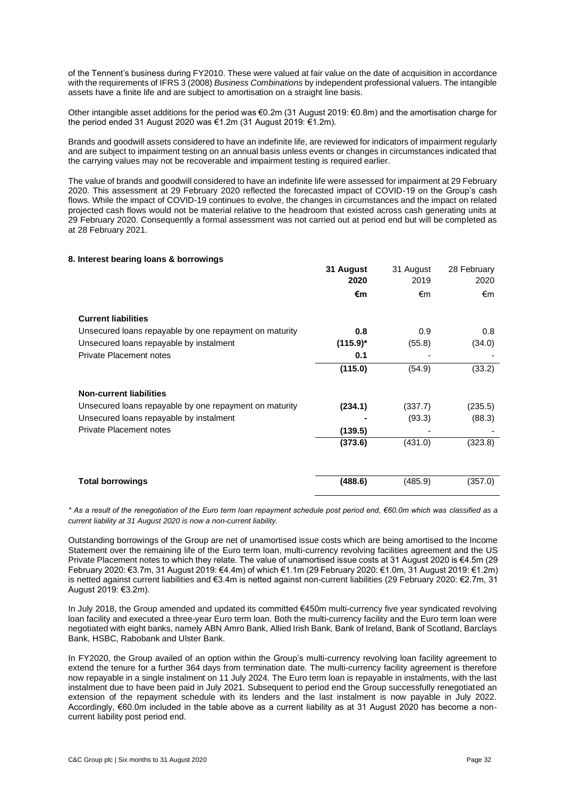of the Tennent's business during FY2010. These were valued at fair value on the date of acquisition in accordance with the requirements of IFRS 3 (2008) *Business Combinations* by independent professional valuers. The intangible assets have a finite life and are subject to amortisation on a straight line basis.

Other intangible asset additions for the period was €0.2m (31 August 2019: €0.8m) and the amortisation charge for the period ended 31 August 2020 was €1.2m (31 August 2019: €1.2m).

Brands and goodwill assets considered to have an indefinite life, are reviewed for indicators of impairment regularly and are subject to impairment testing on an annual basis unless events or changes in circumstances indicated that the carrying values may not be recoverable and impairment testing is required earlier.

The value of brands and goodwill considered to have an indefinite life were assessed for impairment at 29 February 2020. This assessment at 29 February 2020 reflected the forecasted impact of COVID-19 on the Group's cash flows. While the impact of COVID-19 continues to evolve, the changes in circumstances and the impact on related projected cash flows would not be material relative to the headroom that existed across cash generating units at 29 February 2020. Consequently a formal assessment was not carried out at period end but will be completed as at 28 February 2021.

## **8. Interest bearing loans & borrowings**

|                                                        | 31 August<br>2020 | 31 August<br>2019 | 28 February<br>2020 |
|--------------------------------------------------------|-------------------|-------------------|---------------------|
|                                                        | €m                | €m                | €m                  |
| <b>Current liabilities</b>                             |                   |                   |                     |
| Unsecured loans repayable by one repayment on maturity | 0.8               | 0.9               | 0.8                 |
| Unsecured loans repayable by instalment                | $(115.9)^*$       | (55.8)            | (34.0)              |
| Private Placement notes                                | 0.1               |                   |                     |
|                                                        | (115.0)           | (54.9)            | (33.2)              |
| <b>Non-current liabilities</b>                         |                   |                   |                     |
| Unsecured loans repayable by one repayment on maturity | (234.1)           | (337.7)           | (235.5)             |
| Unsecured loans repayable by instalment                |                   | (93.3)            | (88.3)              |
| Private Placement notes                                | (139.5)           |                   |                     |
|                                                        | (373.6)           | (431.0)           | (323.8)             |
|                                                        |                   |                   |                     |
| <b>Total borrowings</b>                                | (488.6)           | (485.9)           | (357.0)             |

*\* As a result of the renegotiation of the Euro term loan repayment schedule post period end, €60.0m which was classified as a current liability at 31 August 2020 is now a non-current liability.*

Outstanding borrowings of the Group are net of unamortised issue costs which are being amortised to the Income Statement over the remaining life of the Euro term loan, multi-currency revolving facilities agreement and the US Private Placement notes to which they relate. The value of unamortised issue costs at 31 August 2020 is €4.5m (29 February 2020: €3.7m, 31 August 2019: €4.4m) of which €1.1m (29 February 2020: €1.0m, 31 August 2019: €1.2m) is netted against current liabilities and €3.4m is netted against non-current liabilities (29 February 2020: €2.7m, 31 August 2019: €3.2m).

In July 2018, the Group amended and updated its committed €450m multi-currency five year syndicated revolving loan facility and executed a three-year Euro term loan. Both the multi-currency facility and the Euro term loan were negotiated with eight banks, namely ABN Amro Bank, Allied Irish Bank, Bank of Ireland, Bank of Scotland, Barclays Bank, HSBC, Rabobank and Ulster Bank.

In FY2020, the Group availed of an option within the Group's multi-currency revolving loan facility agreement to extend the tenure for a further 364 days from termination date. The multi-currency facility agreement is therefore now repayable in a single instalment on 11 July 2024. The Euro term loan is repayable in instalments, with the last instalment due to have been paid in July 2021. Subsequent to period end the Group successfully renegotiated an extension of the repayment schedule with its lenders and the last instalment is now payable in July 2022. Accordingly, €60.0m included in the table above as a current liability as at 31 August 2020 has become a noncurrent liability post period end.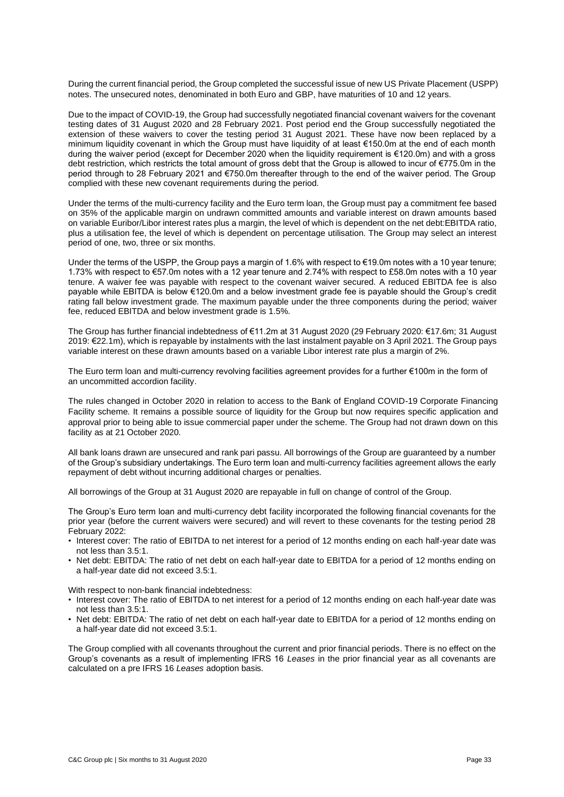During the current financial period, the Group completed the successful issue of new US Private Placement (USPP) notes. The unsecured notes, denominated in both Euro and GBP, have maturities of 10 and 12 years.

Due to the impact of COVID-19, the Group had successfully negotiated financial covenant waivers for the covenant testing dates of 31 August 2020 and 28 February 2021. Post period end the Group successfully negotiated the extension of these waivers to cover the testing period 31 August 2021. These have now been replaced by a minimum liquidity covenant in which the Group must have liquidity of at least €150.0m at the end of each month during the waiver period (except for December 2020 when the liquidity requirement is €120.0m) and with a gross debt restriction, which restricts the total amount of gross debt that the Group is allowed to incur of €775.0m in the period through to 28 February 2021 and €750.0m thereafter through to the end of the waiver period. The Group complied with these new covenant requirements during the period.

Under the terms of the multi-currency facility and the Euro term loan, the Group must pay a commitment fee based on 35% of the applicable margin on undrawn committed amounts and variable interest on drawn amounts based on variable Euribor/Libor interest rates plus a margin, the level of which is dependent on the net debt:EBITDA ratio, plus a utilisation fee, the level of which is dependent on percentage utilisation. The Group may select an interest period of one, two, three or six months.

Under the terms of the USPP, the Group pays a margin of 1.6% with respect to €19.0m notes with a 10 year tenure; 1.73% with respect to €57.0m notes with a 12 year tenure and 2.74% with respect to £58.0m notes with a 10 year tenure. A waiver fee was payable with respect to the covenant waiver secured. A reduced EBITDA fee is also payable while EBITDA is below €120.0m and a below investment grade fee is payable should the Group's credit rating fall below investment grade. The maximum payable under the three components during the period; waiver fee, reduced EBITDA and below investment grade is 1.5%.

The Group has further financial indebtedness of €11.2m at 31 August 2020 (29 February 2020: €17.6m; 31 August 2019: €22.1m), which is repayable by instalments with the last instalment payable on 3 April 2021. The Group pays variable interest on these drawn amounts based on a variable Libor interest rate plus a margin of 2%.

The Euro term loan and multi-currency revolving facilities agreement provides for a further €100m in the form of an uncommitted accordion facility.

The rules changed in October 2020 in relation to access to the Bank of England COVID-19 Corporate Financing Facility scheme. It remains a possible source of liquidity for the Group but now requires specific application and approval prior to being able to issue commercial paper under the scheme. The Group had not drawn down on this facility as at 21 October 2020.

All bank loans drawn are unsecured and rank pari passu. All borrowings of the Group are guaranteed by a number of the Group's subsidiary undertakings. The Euro term loan and multi-currency facilities agreement allows the early repayment of debt without incurring additional charges or penalties.

All borrowings of the Group at 31 August 2020 are repayable in full on change of control of the Group.

The Group's Euro term loan and multi-currency debt facility incorporated the following financial covenants for the prior year (before the current waivers were secured) and will revert to these covenants for the testing period 28 February 2022:

- Interest cover: The ratio of EBITDA to net interest for a period of 12 months ending on each half-year date was not less than 3.5:1.
- Net debt: EBITDA: The ratio of net debt on each half-year date to EBITDA for a period of 12 months ending on a half-year date did not exceed 3.5:1.

With respect to non-bank financial indebtedness:

- Interest cover: The ratio of EBITDA to net interest for a period of 12 months ending on each half-year date was not less than 3.5:1.
- Net debt: EBITDA: The ratio of net debt on each half-year date to EBITDA for a period of 12 months ending on a half-year date did not exceed 3.5:1.

The Group complied with all covenants throughout the current and prior financial periods. There is no effect on the Group's covenants as a result of implementing IFRS 16 *Leases* in the prior financial year as all covenants are calculated on a pre IFRS 16 *Leases* adoption basis.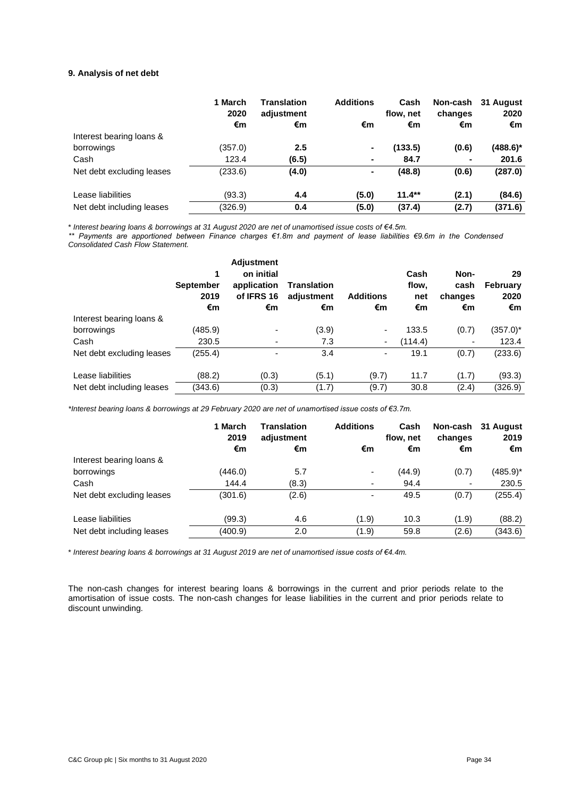# **9. Analysis of net debt**

|                           | 1 March<br>2020<br>€m | Translation<br>adjustment<br>€m | <b>Additions</b><br>€m | Cash<br>flow, net<br>€m | changes<br>€m | Non-cash 31 August<br>2020<br>€m |
|---------------------------|-----------------------|---------------------------------|------------------------|-------------------------|---------------|----------------------------------|
| Interest bearing loans &  |                       |                                 |                        |                         |               |                                  |
| borrowings                | (357.0)               | $2.5\,$                         | ۰                      | (133.5)                 | (0.6)         | (488.6)*                         |
| Cash                      | 123.4                 | (6.5)                           | $\blacksquare$         | 84.7                    |               | 201.6                            |
| Net debt excluding leases | (233.6)               | (4.0)                           | ٠                      | (48.8)                  | (0.6)         | (287.0)                          |
| Lease liabilities         | (93.3)                | 4.4                             | (5.0)                  | $11.4**$                | (2.1)         | (84.6)                           |
| Net debt including leases | (326.9)               | 0.4                             | (5.0)                  | (37.4)                  | (2.7)         | (371.6)                          |

\* *Interest bearing loans & borrowings at 31 August 2020 are net of unamortised issue costs of €4.5m.*

*\*\* Payments are apportioned between Finance charges €1.8m and payment of lease liabilities €9.6m in the Condensed Consolidated Cash Flow Statement.*

|                           | 1<br><b>September</b><br>2019<br>€m | <b>Adjustment</b><br>on initial<br>application<br>of IFRS 16<br>€m | <b>Translation</b><br>adjustment<br>€m | <b>Additions</b><br>€m | Cash<br>flow,<br>net<br>€m | Non-<br>cash<br>changes<br>€m | 29<br>February<br>2020<br>€m |
|---------------------------|-------------------------------------|--------------------------------------------------------------------|----------------------------------------|------------------------|----------------------------|-------------------------------|------------------------------|
| Interest bearing loans &  |                                     |                                                                    |                                        |                        |                            |                               |                              |
| borrowings                | (485.9)                             |                                                                    | (3.9)                                  |                        | 133.5                      | (0.7)                         | (357.0)*                     |
| Cash                      | 230.5                               | ۰                                                                  | 7.3                                    | ۰.                     | (114.4)                    | ۰                             | 123.4                        |
| Net debt excluding leases | (255.4)                             |                                                                    | 3.4                                    | ۰.                     | 19.1                       | (0.7)                         | (233.6)                      |
| Lease liabilities         | (88.2)                              | (0.3)                                                              | (5.1)                                  | (9.7)                  | 11.7                       | (1.7)                         | (93.3)                       |
| Net debt including leases | (343.6)                             | (0.3)                                                              | (1.7)                                  | (9.7)                  | 30.8                       | (2.4)                         | (326.9)                      |

*\*Interest bearing loans & borrowings at 29 February 2020 are net of unamortised issue costs of €3.7m.*

|                           | 1 March<br>2019 | Translation<br>adjustment | <b>Additions</b> | Cash<br>flow, net | Non-cash<br>changes | 31 August<br>2019 |
|---------------------------|-----------------|---------------------------|------------------|-------------------|---------------------|-------------------|
|                           | €m              | €m                        | €m               | €m                | €m                  | €m                |
| Interest bearing loans &  |                 |                           |                  |                   |                     |                   |
| borrowings                | (446.0)         | 5.7                       |                  | (44.9)            | (0.7)               | $(485.9)^*$       |
| Cash                      | 144.4           | (8.3)                     |                  | 94.4              |                     | 230.5             |
| Net debt excluding leases | (301.6)         | (2.6)                     |                  | 49.5              | (0.7)               | (255.4)           |
| Lease liabilities         | (99.3)          | 4.6                       | (1.9)            | 10.3              | (1.9)               | (88.2)            |
| Net debt including leases | (400.9)         | 2.0                       | (1.9)            | 59.8              | (2.6)               | (343.6)           |

\* *Interest bearing loans & borrowings at 31 August 2019 are net of unamortised issue costs of €4.4m.*

The non-cash changes for interest bearing loans & borrowings in the current and prior periods relate to the amortisation of issue costs. The non-cash changes for lease liabilities in the current and prior periods relate to discount unwinding.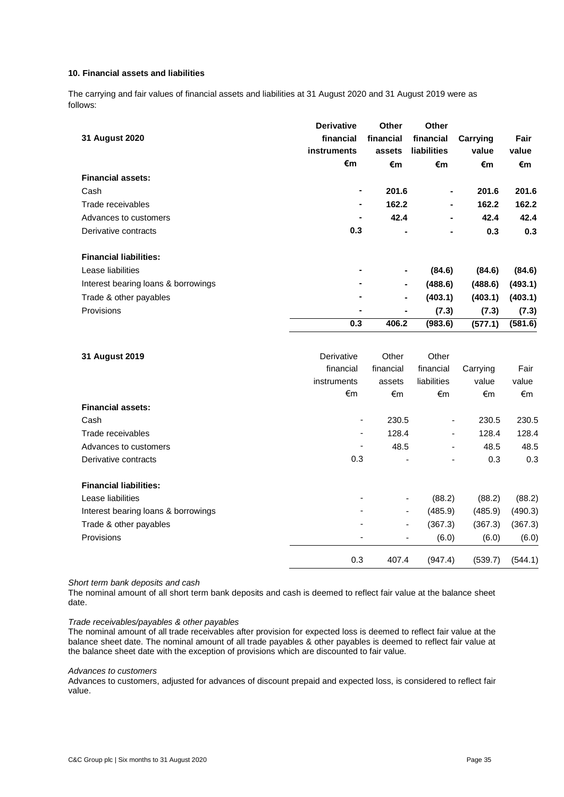## **10. Financial assets and liabilities**

The carrying and fair values of financial assets and liabilities at 31 August 2020 and 31 August 2019 were as follows:

|                                     | <b>Derivative</b>  | <b>Other</b>   | <b>Other</b>       |          |         |
|-------------------------------------|--------------------|----------------|--------------------|----------|---------|
| 31 August 2020                      | financial          | financial      | financial          | Carrying | Fair    |
|                                     | <b>instruments</b> | assets         | <b>liabilities</b> | value    | value   |
|                                     | €m                 | €m             | €m                 | €m       | €m      |
| <b>Financial assets:</b>            |                    |                |                    |          |         |
| Cash                                | ۰                  | 201.6          | ۰.                 | 201.6    | 201.6   |
| Trade receivables                   | ۰                  | 162.2          | ۰                  | 162.2    | 162.2   |
| Advances to customers               | $\blacksquare$     | 42.4           | $\blacksquare$     | 42.4     | 42.4    |
| Derivative contracts                | 0.3                | $\blacksquare$ |                    | 0.3      | 0.3     |
| <b>Financial liabilities:</b>       |                    |                |                    |          |         |
| Lease liabilities                   | $\blacksquare$     | $\blacksquare$ | (84.6)             | (84.6)   | (84.6)  |
| Interest bearing loans & borrowings | $\blacksquare$     | $\blacksquare$ | (488.6)            | (488.6)  | (493.1) |
| Trade & other payables              | $\blacksquare$     | $\blacksquare$ | (403.1)            | (403.1)  | (403.1) |
| <b>Provisions</b>                   |                    | $\blacksquare$ | (7.3)              | (7.3)    | (7.3)   |
|                                     | 0.3                | 406.2          | (983.6)            | (577.1)  | (581.6) |

| 31 August 2019                      | Derivative<br>financial<br>instruments<br>€m | Other<br>financial<br>assets<br>€m | Other<br>financial<br>liabilities<br>€m | Carrying<br>value<br>€m | Fair<br>value<br>€m |
|-------------------------------------|----------------------------------------------|------------------------------------|-----------------------------------------|-------------------------|---------------------|
| <b>Financial assets:</b>            |                                              |                                    |                                         |                         |                     |
| Cash                                | ٠                                            | 230.5                              | ۰                                       | 230.5                   | 230.5               |
| Trade receivables                   | ٠                                            | 128.4                              | ۰                                       | 128.4                   | 128.4               |
| Advances to customers               | $\overline{\phantom{0}}$                     | 48.5                               |                                         | 48.5                    | 48.5                |
| Derivative contracts                | 0.3                                          | $\overline{\phantom{0}}$           | ۰                                       | 0.3                     | 0.3                 |
| <b>Financial liabilities:</b>       |                                              |                                    |                                         |                         |                     |
| Lease liabilities                   |                                              | $\overline{\phantom{a}}$           | (88.2)                                  | (88.2)                  | (88.2)              |
| Interest bearing loans & borrowings |                                              | $\blacksquare$                     | (485.9)                                 | (485.9)                 | (490.3)             |
| Trade & other payables              |                                              | $\overline{\phantom{a}}$           | (367.3)                                 | (367.3)                 | (367.3)             |
| <b>Provisions</b>                   |                                              | ٠                                  | (6.0)                                   | (6.0)                   | (6.0)               |
|                                     | 0.3                                          | 407.4                              | (947.4)                                 | (539.7)                 | (544.1)             |

*Short term bank deposits and cash* 

The nominal amount of all short term bank deposits and cash is deemed to reflect fair value at the balance sheet date.

# *Trade receivables/payables & other payables*

The nominal amount of all trade receivables after provision for expected loss is deemed to reflect fair value at the balance sheet date. The nominal amount of all trade payables & other payables is deemed to reflect fair value at the balance sheet date with the exception of provisions which are discounted to fair value.

#### *Advances to customers*

Advances to customers, adjusted for advances of discount prepaid and expected loss, is considered to reflect fair value.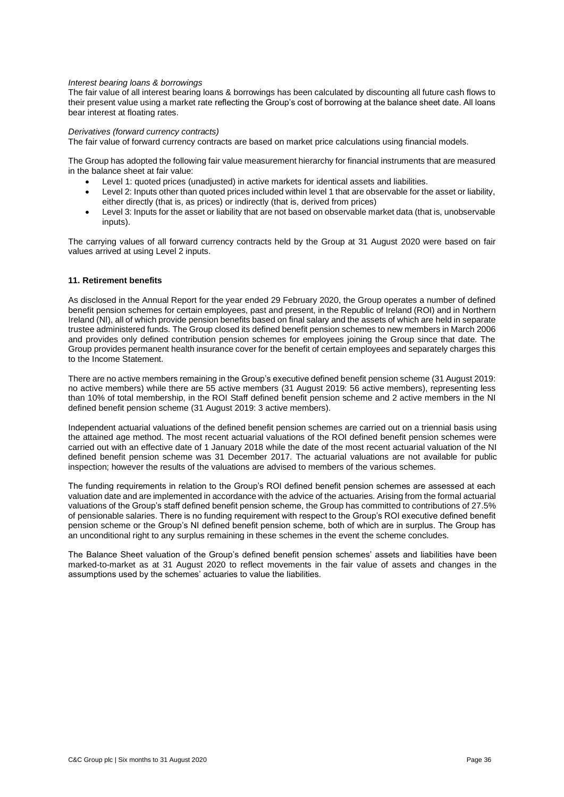#### *Interest bearing loans & borrowings*

The fair value of all interest bearing loans & borrowings has been calculated by discounting all future cash flows to their present value using a market rate reflecting the Group's cost of borrowing at the balance sheet date. All loans bear interest at floating rates.

#### *Derivatives (forward currency contracts)*

The fair value of forward currency contracts are based on market price calculations using financial models.

The Group has adopted the following fair value measurement hierarchy for financial instruments that are measured in the balance sheet at fair value:

- Level 1: quoted prices (unadjusted) in active markets for identical assets and liabilities.
- Level 2: Inputs other than quoted prices included within level 1 that are observable for the asset or liability, either directly (that is, as prices) or indirectly (that is, derived from prices)
- Level 3: Inputs for the asset or liability that are not based on observable market data (that is, unobservable inputs).

The carrying values of all forward currency contracts held by the Group at 31 August 2020 were based on fair values arrived at using Level 2 inputs.

## **11. Retirement benefits**

As disclosed in the Annual Report for the year ended 29 February 2020, the Group operates a number of defined benefit pension schemes for certain employees, past and present, in the Republic of Ireland (ROI) and in Northern Ireland (NI), all of which provide pension benefits based on final salary and the assets of which are held in separate trustee administered funds. The Group closed its defined benefit pension schemes to new members in March 2006 and provides only defined contribution pension schemes for employees joining the Group since that date. The Group provides permanent health insurance cover for the benefit of certain employees and separately charges this to the Income Statement.

There are no active members remaining in the Group's executive defined benefit pension scheme (31 August 2019: no active members) while there are 55 active members (31 August 2019: 56 active members), representing less than 10% of total membership, in the ROI Staff defined benefit pension scheme and 2 active members in the NI defined benefit pension scheme (31 August 2019: 3 active members).

Independent actuarial valuations of the defined benefit pension schemes are carried out on a triennial basis using the attained age method. The most recent actuarial valuations of the ROI defined benefit pension schemes were carried out with an effective date of 1 January 2018 while the date of the most recent actuarial valuation of the NI defined benefit pension scheme was 31 December 2017. The actuarial valuations are not available for public inspection; however the results of the valuations are advised to members of the various schemes.

The funding requirements in relation to the Group's ROI defined benefit pension schemes are assessed at each valuation date and are implemented in accordance with the advice of the actuaries. Arising from the formal actuarial valuations of the Group's staff defined benefit pension scheme, the Group has committed to contributions of 27.5% of pensionable salaries. There is no funding requirement with respect to the Group's ROI executive defined benefit pension scheme or the Group's NI defined benefit pension scheme, both of which are in surplus. The Group has an unconditional right to any surplus remaining in these schemes in the event the scheme concludes.

The Balance Sheet valuation of the Group's defined benefit pension schemes' assets and liabilities have been marked-to-market as at 31 August 2020 to reflect movements in the fair value of assets and changes in the assumptions used by the schemes' actuaries to value the liabilities.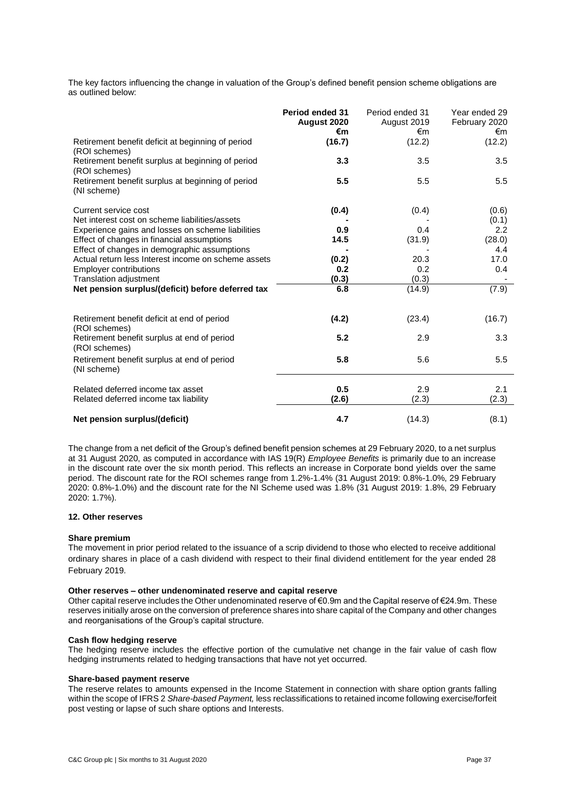The key factors influencing the change in valuation of the Group's defined benefit pension scheme obligations are as outlined below:

|                                                                                                 | <b>Period ended 31</b><br>August 2020<br>€m | Period ended 31<br>August 2019<br>€m | Year ended 29<br>February 2020<br>€m |
|-------------------------------------------------------------------------------------------------|---------------------------------------------|--------------------------------------|--------------------------------------|
| Retirement benefit deficit at beginning of period<br>(ROI schemes)                              | (16.7)                                      | (12.2)                               | (12.2)                               |
| Retirement benefit surplus at beginning of period<br>(ROI schemes)                              | 3.3                                         | 3.5                                  | 3.5                                  |
| Retirement benefit surplus at beginning of period<br>(NI scheme)<br>Current service cost        | 5.5                                         | 5.5                                  | 5.5                                  |
|                                                                                                 | (0.4)                                       | (0.4)                                | (0.6)                                |
| Net interest cost on scheme liabilities/assets                                                  | 0.9                                         | 0.4                                  | (0.1)<br>2.2                         |
| Experience gains and losses on scheme liabilities<br>Effect of changes in financial assumptions | 14.5                                        | (31.9)                               | (28.0)                               |
| Effect of changes in demographic assumptions                                                    |                                             |                                      | 4.4                                  |
| Actual return less Interest income on scheme assets                                             | (0.2)                                       | 20.3                                 | 17.0                                 |
| <b>Employer contributions</b>                                                                   | 0.2                                         | 0.2                                  | 0.4                                  |
| <b>Translation adjustment</b>                                                                   | (0.3)                                       | (0.3)                                |                                      |
| Net pension surplus/(deficit) before deferred tax                                               | 6.8                                         | (14.9)                               | (7.9)                                |
| Retirement benefit deficit at end of period<br>(ROI schemes)                                    | (4.2)                                       | (23.4)                               | (16.7)                               |
| Retirement benefit surplus at end of period<br>(ROI schemes)                                    | 5.2                                         | 2.9                                  | 3.3                                  |
| Retirement benefit surplus at end of period<br>(NI scheme)                                      | 5.8                                         | 5.6                                  | 5.5                                  |
| Related deferred income tax asset                                                               | 0.5                                         | 2.9                                  | 2.1                                  |
| Related deferred income tax liability                                                           | (2.6)                                       | (2.3)                                | (2.3)                                |
| Net pension surplus/(deficit)                                                                   | 4.7                                         | (14.3)                               | (8.1)                                |

The change from a net deficit of the Group's defined benefit pension schemes at 29 February 2020, to a net surplus at 31 August 2020, as computed in accordance with IAS 19(R) *Employee Benefits* is primarily due to an increase in the discount rate over the six month period. This reflects an increase in Corporate bond yields over the same period. The discount rate for the ROI schemes range from 1.2%-1.4% (31 August 2019: 0.8%-1.0%, 29 February 2020: 0.8%-1.0%) and the discount rate for the NI Scheme used was 1.8% (31 August 2019: 1.8%, 29 February 2020: 1.7%).

#### **12. Other reserves**

## **Share premium**

The movement in prior period related to the issuance of a scrip dividend to those who elected to receive additional ordinary shares in place of a cash dividend with respect to their final dividend entitlement for the year ended 28 February 2019.

#### **Other reserves – other undenominated reserve and capital reserve**

Other capital reserve includes the Other undenominated reserve of €0.9m and the Capital reserve of €24.9m. These reserves initially arose on the conversion of preference shares into share capital of the Company and other changes and reorganisations of the Group's capital structure.

#### **Cash flow hedging reserve**

The hedging reserve includes the effective portion of the cumulative net change in the fair value of cash flow hedging instruments related to hedging transactions that have not yet occurred.

#### **Share-based payment reserve**

The reserve relates to amounts expensed in the Income Statement in connection with share option grants falling within the scope of IFRS 2 *Share-based Payment,* less reclassifications to retained income following exercise/forfeit post vesting or lapse of such share options and Interests.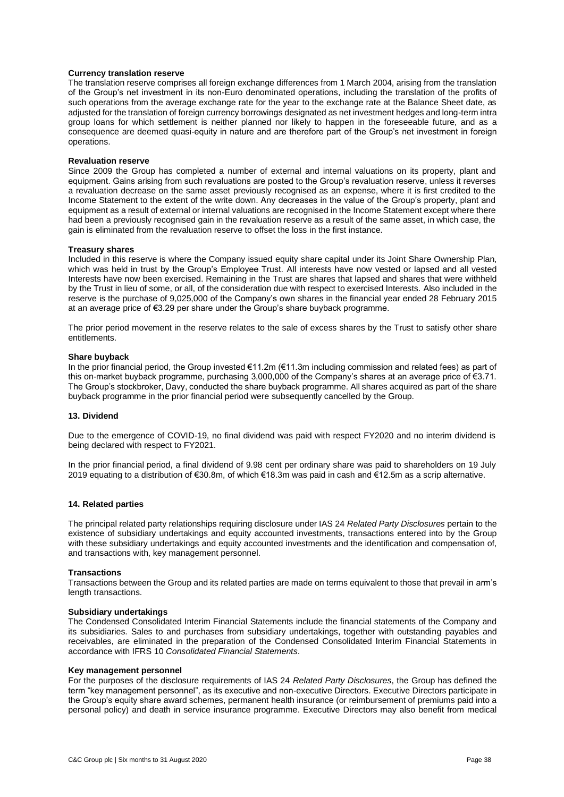#### **Currency translation reserve**

The translation reserve comprises all foreign exchange differences from 1 March 2004, arising from the translation of the Group's net investment in its non-Euro denominated operations, including the translation of the profits of such operations from the average exchange rate for the year to the exchange rate at the Balance Sheet date, as adjusted for the translation of foreign currency borrowings designated as net investment hedges and long-term intra group loans for which settlement is neither planned nor likely to happen in the foreseeable future, and as a consequence are deemed quasi-equity in nature and are therefore part of the Group's net investment in foreign operations.

#### **Revaluation reserve**

Since 2009 the Group has completed a number of external and internal valuations on its property, plant and equipment. Gains arising from such revaluations are posted to the Group's revaluation reserve, unless it reverses a revaluation decrease on the same asset previously recognised as an expense, where it is first credited to the Income Statement to the extent of the write down. Any decreases in the value of the Group's property, plant and equipment as a result of external or internal valuations are recognised in the Income Statement except where there had been a previously recognised gain in the revaluation reserve as a result of the same asset, in which case, the gain is eliminated from the revaluation reserve to offset the loss in the first instance.

#### **Treasury shares**

Included in this reserve is where the Company issued equity share capital under its Joint Share Ownership Plan, which was held in trust by the Group's Employee Trust. All interests have now vested or lapsed and all vested Interests have now been exercised. Remaining in the Trust are shares that lapsed and shares that were withheld by the Trust in lieu of some, or all, of the consideration due with respect to exercised Interests. Also included in the reserve is the purchase of 9,025,000 of the Company's own shares in the financial year ended 28 February 2015 at an average price of €3.29 per share under the Group's share buyback programme.

The prior period movement in the reserve relates to the sale of excess shares by the Trust to satisfy other share entitlements.

## **Share buyback**

In the prior financial period, the Group invested €11.2m (€11.3m including commission and related fees) as part of this on-market buyback programme, purchasing 3,000,000 of the Company's shares at an average price of €3.71. The Group's stockbroker, Davy, conducted the share buyback programme. All shares acquired as part of the share buyback programme in the prior financial period were subsequently cancelled by the Group.

#### **13. Dividend**

Due to the emergence of COVID-19, no final dividend was paid with respect FY2020 and no interim dividend is being declared with respect to FY2021.

In the prior financial period, a final dividend of 9.98 cent per ordinary share was paid to shareholders on 19 July 2019 equating to a distribution of €30.8m, of which €18.3m was paid in cash and €12.5m as a scrip alternative.

#### **14. Related parties**

The principal related party relationships requiring disclosure under IAS 24 *Related Party Disclosures* pertain to the existence of subsidiary undertakings and equity accounted investments, transactions entered into by the Group with these subsidiary undertakings and equity accounted investments and the identification and compensation of, and transactions with, key management personnel.

#### **Transactions**

Transactions between the Group and its related parties are made on terms equivalent to those that prevail in arm's length transactions.

## **Subsidiary undertakings**

The Condensed Consolidated Interim Financial Statements include the financial statements of the Company and its subsidiaries. Sales to and purchases from subsidiary undertakings, together with outstanding payables and receivables, are eliminated in the preparation of the Condensed Consolidated Interim Financial Statements in accordance with IFRS 10 *Consolidated Financial Statements*.

#### **Key management personnel**

For the purposes of the disclosure requirements of IAS 24 *Related Party Disclosures*, the Group has defined the term "key management personnel", as its executive and non-executive Directors. Executive Directors participate in the Group's equity share award schemes, permanent health insurance (or reimbursement of premiums paid into a personal policy) and death in service insurance programme. Executive Directors may also benefit from medical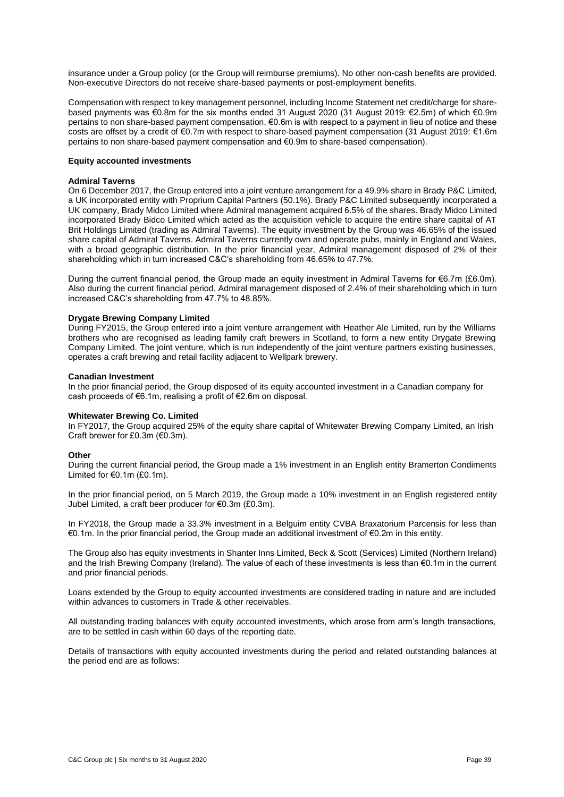insurance under a Group policy (or the Group will reimburse premiums). No other non-cash benefits are provided. Non-executive Directors do not receive share-based payments or post-employment benefits.

Compensation with respect to key management personnel, including Income Statement net credit/charge for sharebased payments was €0.8m for the six months ended 31 August 2020 (31 August 2019: €2.5m) of which €0.9m pertains to non share-based payment compensation, €0.6m is with respect to a payment in lieu of notice and these costs are offset by a credit of €0.7m with respect to share-based payment compensation (31 August 2019: €1.6m pertains to non share-based payment compensation and €0.9m to share-based compensation).

#### **Equity accounted investments**

#### **Admiral Taverns**

On 6 December 2017, the Group entered into a joint venture arrangement for a 49.9% share in Brady P&C Limited, a UK incorporated entity with Proprium Capital Partners (50.1%). Brady P&C Limited subsequently incorporated a UK company, Brady Midco Limited where Admiral management acquired 6.5% of the shares. Brady Midco Limited incorporated Brady Bidco Limited which acted as the acquisition vehicle to acquire the entire share capital of AT Brit Holdings Limited (trading as Admiral Taverns). The equity investment by the Group was 46.65% of the issued share capital of Admiral Taverns. Admiral Taverns currently own and operate pubs, mainly in England and Wales, with a broad geographic distribution. In the prior financial year, Admiral management disposed of 2% of their shareholding which in turn increased C&C's shareholding from 46.65% to 47.7%.

During the current financial period, the Group made an equity investment in Admiral Taverns for €6.7m (£6.0m). Also during the current financial period, Admiral management disposed of 2.4% of their shareholding which in turn increased C&C's shareholding from 47.7% to 48.85%.

#### **Drygate Brewing Company Limited**

During FY2015, the Group entered into a joint venture arrangement with Heather Ale Limited, run by the Williams brothers who are recognised as leading family craft brewers in Scotland, to form a new entity Drygate Brewing Company Limited. The joint venture, which is run independently of the joint venture partners existing businesses, operates a craft brewing and retail facility adjacent to Wellpark brewery.

#### **Canadian Investment**

In the prior financial period, the Group disposed of its equity accounted investment in a Canadian company for cash proceeds of €6.1m, realising a profit of €2.6m on disposal.

#### **Whitewater Brewing Co. Limited**

In FY2017, the Group acquired 25% of the equity share capital of Whitewater Brewing Company Limited, an Irish Craft brewer for £0.3m (€0.3m).

## **Other**

During the current financial period, the Group made a 1% investment in an English entity Bramerton Condiments Limited for €0.1m (£0.1m).

In the prior financial period, on 5 March 2019, the Group made a 10% investment in an English registered entity Jubel Limited, a craft beer producer for €0.3m (£0.3m).

In FY2018, the Group made a 33.3% investment in a Belguim entity CVBA Braxatorium Parcensis for less than €0.1m. In the prior financial period, the Group made an additional investment of €0.2m in this entity.

The Group also has equity investments in Shanter Inns Limited, Beck & Scott (Services) Limited (Northern Ireland) and the Irish Brewing Company (Ireland). The value of each of these investments is less than €0.1m in the current and prior financial periods.

Loans extended by the Group to equity accounted investments are considered trading in nature and are included within advances to customers in Trade & other receivables.

All outstanding trading balances with equity accounted investments, which arose from arm's length transactions, are to be settled in cash within 60 days of the reporting date.

Details of transactions with equity accounted investments during the period and related outstanding balances at the period end are as follows: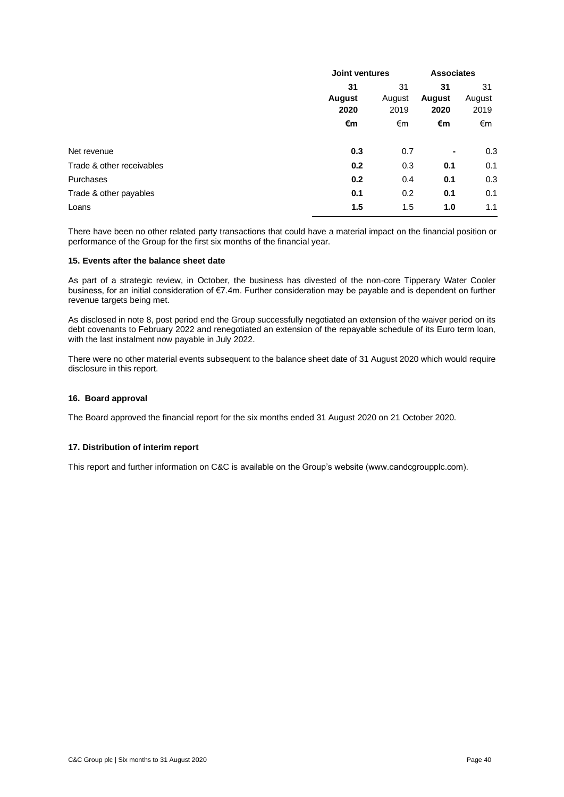|                           | <b>Joint ventures</b> |        | <b>Associates</b> |        |  |
|---------------------------|-----------------------|--------|-------------------|--------|--|
|                           | 31                    | 31     | 31                | 31     |  |
|                           | <b>August</b>         | August | <b>August</b>     | August |  |
|                           | 2020                  | 2019   | 2020              | 2019   |  |
|                           | €m                    | €m     | €m                | €m     |  |
| Net revenue               | 0.3                   | 0.7    | $\blacksquare$    | 0.3    |  |
| Trade & other receivables | 0.2                   | 0.3    | 0.1               | 0.1    |  |
| Purchases                 | 0.2                   | 0.4    | 0.1               | 0.3    |  |
| Trade & other payables    | 0.1                   | 0.2    | 0.1               | 0.1    |  |
| Loans                     | 1.5                   | 1.5    | 1.0               | 1.1    |  |

There have been no other related party transactions that could have a material impact on the financial position or performance of the Group for the first six months of the financial year.

## **15. Events after the balance sheet date**

As part of a strategic review, in October, the business has divested of the non-core Tipperary Water Cooler business, for an initial consideration of €7.4m. Further consideration may be payable and is dependent on further revenue targets being met.

As disclosed in note 8, post period end the Group successfully negotiated an extension of the waiver period on its debt covenants to February 2022 and renegotiated an extension of the repayable schedule of its Euro term loan, with the last instalment now payable in July 2022.

There were no other material events subsequent to the balance sheet date of 31 August 2020 which would require disclosure in this report.

## **16. Board approval**

The Board approved the financial report for the six months ended 31 August 2020 on 21 October 2020.

# **17. Distribution of interim report**

This report and further information on C&C is available on the Group's website (www.candcgroupplc.com).